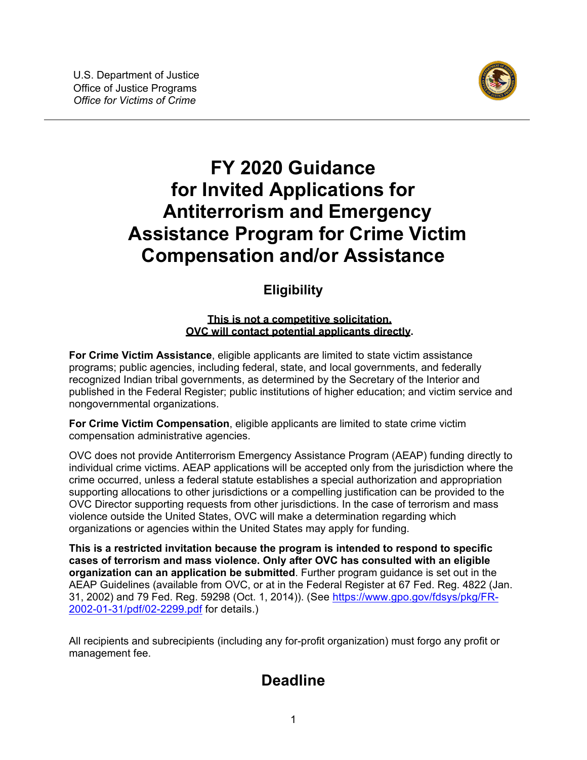

# <span id="page-0-0"></span>**FY 2020 Guidance for Invited Applications for Antiterrorism and Emergency Assistance Program for Crime Victim Compensation and/or Assistance**

## **Eligibility**

#### **This is not a competitive solicitation. OVC will contact potential applicants directly.**

**For Crime Victim Assistance**, eligible applicants are limited to state victim assistance programs; public agencies, including federal, state, and local governments, and federally recognized Indian tribal governments, as determined by the Secretary of the Interior and published in the Federal Register; public institutions of higher education; and victim service and nongovernmental organizations.

**For Crime Victim Compensation**, eligible applicants are limited to state crime victim compensation administrative agencies.

OVC does not provide Antiterrorism Emergency Assistance Program (AEAP) funding directly to individual crime victims. AEAP applications will be accepted only from the jurisdiction where the crime occurred, unless a federal statute establishes a special authorization and appropriation supporting allocations to other jurisdictions or a compelling justification can be provided to the OVC Director supporting requests from other jurisdictions. In the case of terrorism and mass violence outside the United States, OVC will make a determination regarding which organizations or agencies within the United States may apply for funding.

**This is a restricted invitation because the program is intended to respond to specific cases of terrorism and mass violence. Only after OVC has consulted with an eligible organization can an application be submitted**. Further program guidance is set out in the AEAP Guidelines (available from OVC, or at in the Federal Register at 67 Fed. Reg. 4822 (Jan. 31, 2002) and 79 Fed. Reg. 59298 (Oct. 1, 2014)). (See [https://www.gpo.gov/fdsys/pkg/FR-](https://www.gpo.gov/fdsys/pkg/FR-2002-01-31/pdf/02-2299.pdf)[2002-01-31/pdf/02-2299.pdf](https://www.gpo.gov/fdsys/pkg/FR-2002-01-31/pdf/02-2299.pdf) for details.)

All recipients and subrecipients (including any for-profit organization) must forgo any profit or management fee.

# **Deadline**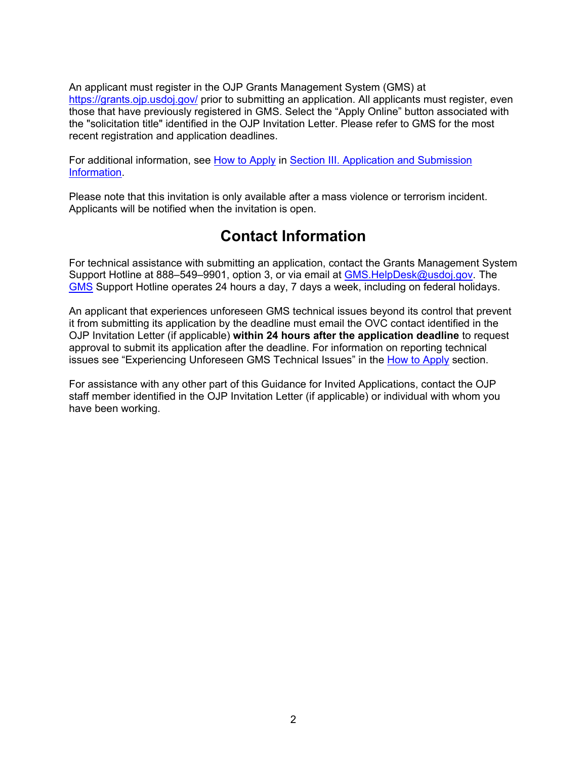An applicant must register in the OJP Grants Management System (GMS) at <https://grants.ojp.usdoj.gov/> prior to submitting an application. All applicants must register, even those that have previously registered in GMS. Select the "Apply Online" button associated with the "solicitation title" identified in the OJP Invitation Letter. Please refer to GMS for the most recent registration and application deadlines.

For additional information, see [How to Apply](#page-25-0) in [Section III. Application and Submission](#page-12-0)  [Information.](#page-12-0)

Please note that this invitation is only available after a mass violence or terrorism incident. Applicants will be notified when the invitation is open.

## **Contact Information**

For technical assistance with submitting an application, contact the Grants Management System Support Hotline at 888–549–9901, option 3, or via email at [GMS.HelpDesk@usdoj.gov.](mailto:GMS.HelpDesk@usdoj.gov) The [GMS](https://grants.ojp.usdoj.gov/) Support Hotline operates 24 hours a day, 7 days a week, including on federal holidays.

An applicant that experiences unforeseen GMS technical issues beyond its control that prevent it from submitting its application by the deadline must email the OVC contact identified in the OJP Invitation Letter (if applicable) **within 24 hours after the application deadline** to request approval to submit its application after the deadline. For information on reporting technical issues see "Experiencing Unforeseen GMS Technical Issues" in the [How to Apply](#page-25-0) section.

For assistance with any other part of this Guidance for Invited Applications, contact the OJP staff member identified in the OJP Invitation Letter (if applicable) or individual with whom you have been working.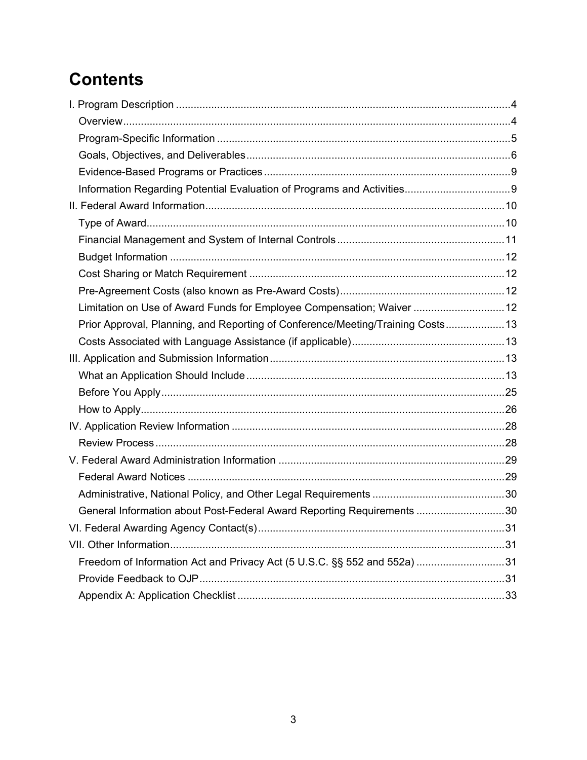# **Contents**

| Limitation on Use of Award Funds for Employee Compensation; Waiver  12          |  |
|---------------------------------------------------------------------------------|--|
| Prior Approval, Planning, and Reporting of Conference/Meeting/Training Costs 13 |  |
|                                                                                 |  |
|                                                                                 |  |
|                                                                                 |  |
|                                                                                 |  |
|                                                                                 |  |
|                                                                                 |  |
|                                                                                 |  |
|                                                                                 |  |
|                                                                                 |  |
|                                                                                 |  |
| General Information about Post-Federal Award Reporting Requirements 30          |  |
|                                                                                 |  |
|                                                                                 |  |
| Freedom of Information Act and Privacy Act (5 U.S.C. §§ 552 and 552a) 31        |  |
|                                                                                 |  |
|                                                                                 |  |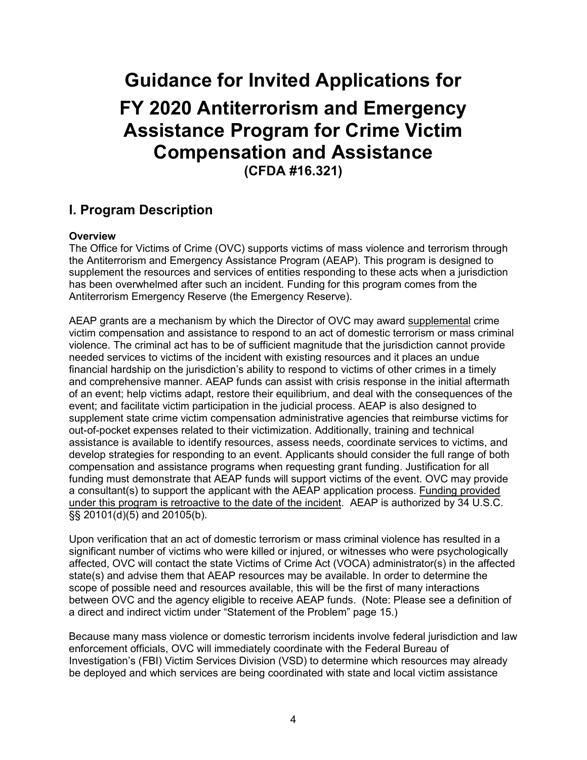# **Guidance for Invited Applications for FY 2020 Antiterrorism and Emergency Assistance Program for Crime Victim Compensation and Assistance (CFDA #16.321)**

## <span id="page-3-0"></span>**I. Program Description**

#### <span id="page-3-1"></span>**Overview**

The Office for Victims of Crime (OVC) supports victims of mass violence and terrorism through the Antiterrorism and Emergency Assistance Program (AEAP). This program is designed to supplement the resources and services of entities responding to these acts when a jurisdiction has been overwhelmed after such an incident. Funding for this program comes from the Antiterrorism Emergency Reserve (the Emergency Reserve).

AEAP grants are a mechanism by which the Director of OVC may award supplemental crime victim compensation and assistance to respond to an act of domestic terrorism or mass criminal violence. The criminal act has to be of sufficient magnitude that the jurisdiction cannot provide needed services to victims of the incident with existing resources and it places an undue financial hardship on the jurisdiction's ability to respond to victims of other crimes in a timely and comprehensive manner. AEAP funds can assist with crisis response in the initial aftermath of an event; help victims adapt, restore their equilibrium, and deal with the consequences of the event; and facilitate victim participation in the judicial process. AEAP is also designed to supplement state crime victim compensation administrative agencies that reimburse victims for out-of-pocket expenses related to their victimization. Additionally, training and technical assistance is available to identify resources, assess needs, coordinate services to victims, and develop strategies for responding to an event. Applicants should consider the full range of both compensation and assistance programs when requesting grant funding. Justification for all funding must demonstrate that AEAP funds will support victims of the event. OVC may provide a consultant(s) to support the applicant with the AEAP application process. Funding provided under this program is retroactive to the date of the incident. AEAP is authorized by 34 U.S.C. §§ 20101(d)(5) and 20105(b).

Upon verification that an act of domestic terrorism or mass criminal violence has resulted in a significant number of victims who were killed or injured, or witnesses who were psychologically affected, OVC will contact the state Victims of Crime Act (VOCA) administrator(s) in the affected state(s) and advise them that AEAP resources may be available. In order to determine the scope of possible need and resources available, this will be the first of many interactions between OVC and the agency eligible to receive AEAP funds. (Note: Please see a definition of a direct and indirect victim under "Statement of the Problem" page 15.)

Because many mass violence or domestic terrorism incidents involve federal jurisdiction and law enforcement officials, OVC will immediately coordinate with the Federal Bureau of Investigation's (FBI) Victim Services Division (VSD) to determine which resources may already be deployed and which services are being coordinated with state and local victim assistance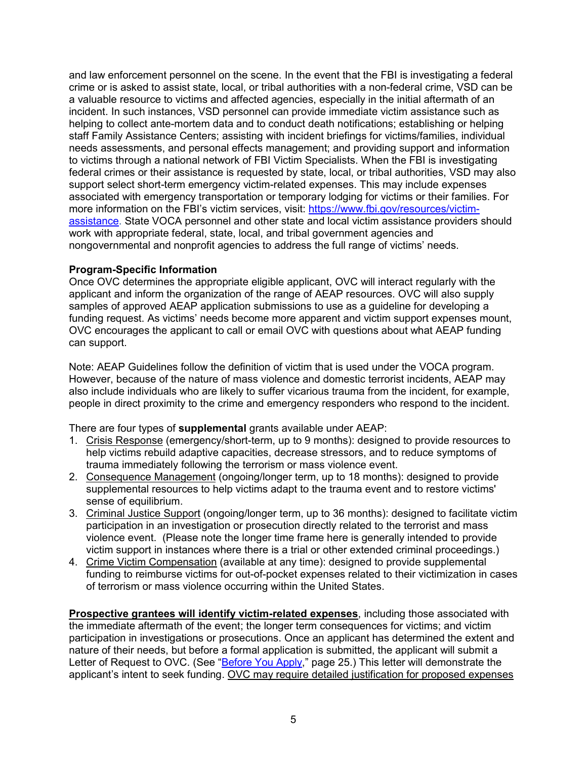and law enforcement personnel on the scene. In the event that the FBI is investigating a federal crime or is asked to assist state, local, or tribal authorities with a non-federal crime, VSD can be a valuable resource to victims and affected agencies, especially in the initial aftermath of an incident. In such instances, VSD personnel can provide immediate victim assistance such as helping to collect ante-mortem data and to conduct death notifications; establishing or helping staff Family Assistance Centers; assisting with incident briefings for victims/families, individual needs assessments, and personal effects management; and providing support and information to victims through a national network of FBI Victim Specialists. When the FBI is investigating federal crimes or their assistance is requested by state, local, or tribal authorities, VSD may also support select short-term emergency victim-related expenses. This may include expenses associated with emergency transportation or temporary lodging for victims or their families. For more information on the FBI's victim services, visit: [https://www.fbi.gov/resources/victim](https://www.fbi.gov/resources/victim-assistance)[assistance.](https://www.fbi.gov/resources/victim-assistance) State VOCA personnel and other state and local victim assistance providers should work with appropriate federal, state, local, and tribal government agencies and nongovernmental and nonprofit agencies to address the full range of victims' needs.

#### <span id="page-4-0"></span>**Program-Specific Information**

Once OVC determines the appropriate eligible applicant, OVC will interact regularly with the applicant and inform the organization of the range of AEAP resources. OVC will also supply samples of approved AEAP application submissions to use as a guideline for developing a funding request. As victims' needs become more apparent and victim support expenses mount, OVC encourages the applicant to call or email OVC with questions about what AEAP funding can support.

Note: AEAP Guidelines follow the definition of victim that is used under the VOCA program. However, because of the nature of mass violence and domestic terrorist incidents, AEAP may also include individuals who are likely to suffer vicarious trauma from the incident, for example, people in direct proximity to the crime and emergency responders who respond to the incident.

There are four types of **supplemental** grants available under AEAP:

- 1. Crisis Response (emergency/short-term, up to 9 months): designed to provide resources to help victims rebuild adaptive capacities, decrease stressors, and to reduce symptoms of trauma immediately following the terrorism or mass violence event.
- 2. Consequence Management (ongoing/longer term, up to 18 months): designed to provide supplemental resources to help victims adapt to the trauma event and to restore victims' sense of equilibrium.
- 3. Criminal Justice Support (ongoing/longer term, up to 36 months): designed to facilitate victim participation in an investigation or prosecution directly related to the terrorist and mass violence event. (Please note the longer time frame here is generally intended to provide victim support in instances where there is a trial or other extended criminal proceedings.)
- 4. Crime Victim Compensation (available at any time): designed to provide supplemental funding to reimburse victims for out-of-pocket expenses related to their victimization in cases of terrorism or mass violence occurring within the United States.

**Prospective grantees will identify victim-related expenses**, including those associated with the immediate aftermath of the event; the longer term consequences for victims; and victim participation in investigations or prosecutions. Once an applicant has determined the extent and nature of their needs, but before a formal application is submitted, the applicant will submit a Letter of Request to OVC. (See "**Before You Apply**," page 25.) This letter will demonstrate the applicant's intent to seek funding. OVC may require detailed justification for proposed expenses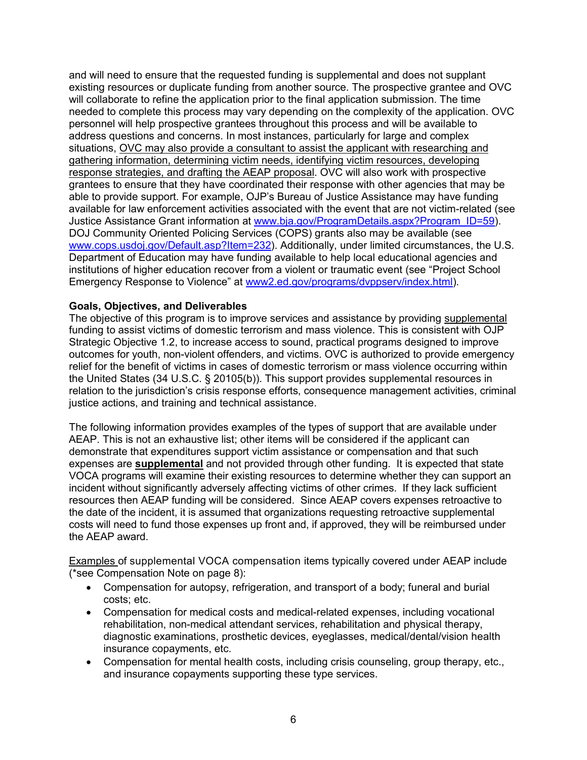and will need to ensure that the requested funding is supplemental and does not supplant existing resources or duplicate funding from another source. The prospective grantee and OVC will collaborate to refine the application prior to the final application submission. The time needed to complete this process may vary depending on the complexity of the application. OVC personnel will help prospective grantees throughout this process and will be available to address questions and concerns. In most instances, particularly for large and complex situations, OVC may also provide a consultant to assist the applicant with researching and gathering information, determining victim needs, identifying victim resources, developing response strategies, and drafting the AEAP proposal. OVC will also work with prospective grantees to ensure that they have coordinated their response with other agencies that may be able to provide support. For example, OJP's Bureau of Justice Assistance may have funding available for law enforcement activities associated with the event that are not victim-related (see Justice Assistance Grant information at [www.bja.gov/ProgramDetails.aspx?Program\\_ID=59\)](https://www.bja.gov/ProgramDetails.aspx?Program_ID=59). DOJ Community Oriented Policing Services (COPS) grants also may be available (see [www.cops.usdoj.gov/Default.asp?Item=232\)](http://www.cops.usdoj.gov/Default.asp?Item=232). Additionally, under limited circumstances, the U.S. Department of Education may have funding available to help local educational agencies and institutions of higher education recover from a violent or traumatic event (see "Project School Emergency Response to Violence" at [www2.ed.gov/programs/dvppserv/index.html\)](http://www2.ed.gov/programs/dvppserv/index.html).

#### <span id="page-5-0"></span>**Goals, Objectives, and Deliverables**

The objective of this program is to improve services and assistance by providing supplemental funding to assist victims of domestic terrorism and mass violence. This is consistent with OJP Strategic Objective 1.2, to increase access to sound, practical programs designed to improve outcomes for youth, non-violent offenders, and victims. OVC is authorized to provide emergency relief for the benefit of victims in cases of domestic terrorism or mass violence occurring within the United States (34 U.S.C. § 20105(b)). This support provides supplemental resources in relation to the jurisdiction's crisis response efforts, consequence management activities, criminal justice actions, and training and technical assistance.

The following information provides examples of the types of support that are available under AEAP. This is not an exhaustive list; other items will be considered if the applicant can demonstrate that expenditures support victim assistance or compensation and that such expenses are **supplemental** and not provided through other funding. It is expected that state VOCA programs will examine their existing resources to determine whether they can support an incident without significantly adversely affecting victims of other crimes. If they lack sufficient resources then AEAP funding will be considered. Since AEAP covers expenses retroactive to the date of the incident, it is assumed that organizations requesting retroactive supplemental costs will need to fund those expenses up front and, if approved, they will be reimbursed under the AEAP award.

Examples of supplemental VOCA compensation items typically covered under AEAP include (\*see Compensation Note on page 8):

- Compensation for autopsy, refrigeration, and transport of a body; funeral and burial costs; etc.
- Compensation for medical costs and medical-related expenses, including vocational rehabilitation, non-medical attendant services, rehabilitation and physical therapy, diagnostic examinations, prosthetic devices, eyeglasses, medical/dental/vision health insurance copayments, etc.
- Compensation for mental health costs, including crisis counseling, group therapy, etc., and insurance copayments supporting these type services.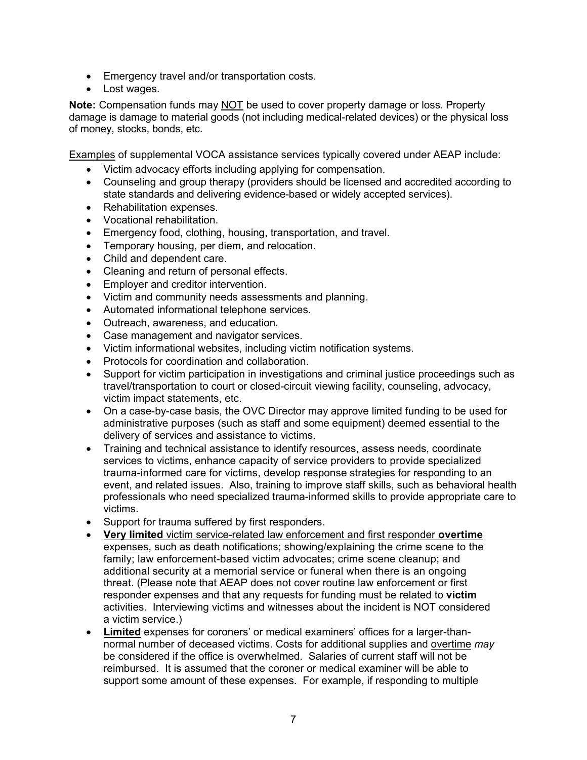- Emergency travel and/or transportation costs.
- Lost wages.

**Note:** Compensation funds may NOT be used to cover property damage or loss. Property damage is damage to material goods (not including medical-related devices) or the physical loss of money, stocks, bonds, etc.

Examples of supplemental VOCA assistance services typically covered under AEAP include:

- Victim advocacy efforts including applying for compensation.
- Counseling and group therapy (providers should be licensed and accredited according to state standards and delivering evidence-based or widely accepted services).
- Rehabilitation expenses.
- Vocational rehabilitation.
- Emergency food, clothing, housing, transportation, and travel.
- Temporary housing, per diem, and relocation.
- Child and dependent care.
- Cleaning and return of personal effects.
- Employer and creditor intervention.
- Victim and community needs assessments and planning.
- Automated informational telephone services.
- Outreach, awareness, and education.
- Case management and navigator services.
- Victim informational websites, including victim notification systems.
- Protocols for coordination and collaboration.
- Support for victim participation in investigations and criminal justice proceedings such as travel/transportation to court or closed-circuit viewing facility, counseling, advocacy, victim impact statements, etc.
- On a case-by-case basis, the OVC Director may approve limited funding to be used for administrative purposes (such as staff and some equipment) deemed essential to the delivery of services and assistance to victims.
- Training and technical assistance to identify resources, assess needs, coordinate services to victims, enhance capacity of service providers to provide specialized trauma-informed care for victims, develop response strategies for responding to an event, and related issues. Also, training to improve staff skills, such as behavioral health professionals who need specialized trauma-informed skills to provide appropriate care to victims.
- Support for trauma suffered by first responders.
- **Very limited** victim service-related law enforcement and first responder **overtime** expenses, such as death notifications; showing/explaining the crime scene to the family; law enforcement-based victim advocates; crime scene cleanup; and additional security at a memorial service or funeral when there is an ongoing threat. (Please note that AEAP does not cover routine law enforcement or first responder expenses and that any requests for funding must be related to **victim** activities. Interviewing victims and witnesses about the incident is NOT considered a victim service.)
- **Limited** expenses for coroners' or medical examiners' offices for a larger-thannormal number of deceased victims. Costs for additional supplies and overtime *may* be considered if the office is overwhelmed. Salaries of current staff will not be reimbursed. It is assumed that the coroner or medical examiner will be able to support some amount of these expenses. For example, if responding to multiple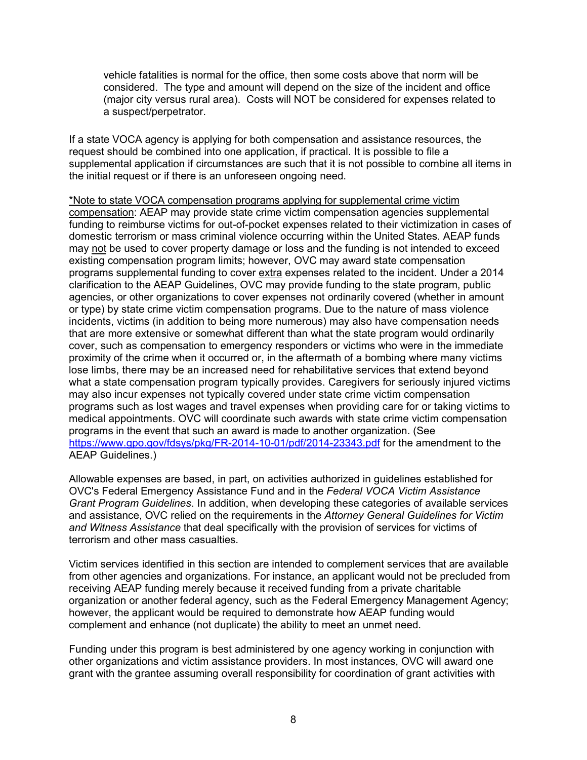vehicle fatalities is normal for the office, then some costs above that norm will be considered. The type and amount will depend on the size of the incident and office (major city versus rural area). Costs will NOT be considered for expenses related to a suspect/perpetrator.

If a state VOCA agency is applying for both compensation and assistance resources, the request should be combined into one application, if practical. It is possible to file a supplemental application if circumstances are such that it is not possible to combine all items in the initial request or if there is an unforeseen ongoing need.

\*Note to state VOCA compensation programs applying for supplemental crime victim compensation: AEAP may provide state crime victim compensation agencies supplemental funding to reimburse victims for out-of-pocket expenses related to their victimization in cases of domestic terrorism or mass criminal violence occurring within the United States. AEAP funds may not be used to cover property damage or loss and the funding is not intended to exceed existing compensation program limits; however, OVC may award state compensation programs supplemental funding to cover extra expenses related to the incident. Under a 2014 clarification to the AEAP Guidelines, OVC may provide funding to the state program, public agencies, or other organizations to cover expenses not ordinarily covered (whether in amount or type) by state crime victim compensation programs. Due to the nature of mass violence incidents, victims (in addition to being more numerous) may also have compensation needs that are more extensive or somewhat different than what the state program would ordinarily cover, such as compensation to emergency responders or victims who were in the immediate proximity of the crime when it occurred or, in the aftermath of a bombing where many victims lose limbs, there may be an increased need for rehabilitative services that extend beyond what a state compensation program typically provides. Caregivers for seriously injured victims may also incur expenses not typically covered under state crime victim compensation programs such as lost wages and travel expenses when providing care for or taking victims to medical appointments. OVC will coordinate such awards with state crime victim compensation programs in the event that such an award is made to another organization. (See <https://www.gpo.gov/fdsys/pkg/FR-2014-10-01/pdf/2014-23343.pdf> for the amendment to the AEAP Guidelines.)

Allowable expenses are based, in part, on activities authorized in guidelines established for OVC's Federal Emergency Assistance Fund and in the *Federal VOCA Victim Assistance Grant Program Guidelines*. In addition, when developing these categories of available services and assistance, OVC relied on the requirements in the *Attorney General Guidelines for Victim and Witness Assistance* that deal specifically with the provision of services for victims of terrorism and other mass casualties.

Victim services identified in this section are intended to complement services that are available from other agencies and organizations. For instance, an applicant would not be precluded from receiving AEAP funding merely because it received funding from a private charitable organization or another federal agency, such as the Federal Emergency Management Agency; however, the applicant would be required to demonstrate how AEAP funding would complement and enhance (not duplicate) the ability to meet an unmet need.

Funding under this program is best administered by one agency working in conjunction with other organizations and victim assistance providers. In most instances, OVC will award one grant with the grantee assuming overall responsibility for coordination of grant activities with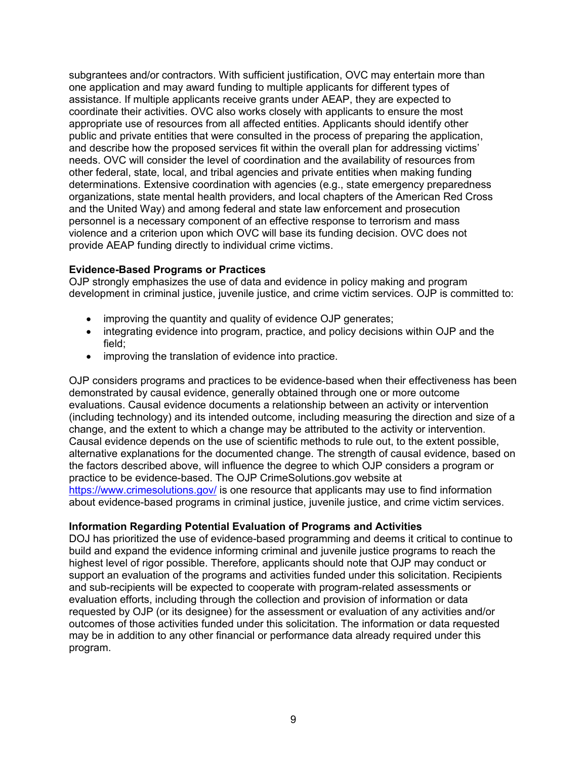subgrantees and/or contractors. With sufficient justification, OVC may entertain more than one application and may award funding to multiple applicants for different types of assistance. If multiple applicants receive grants under AEAP, they are expected to coordinate their activities. OVC also works closely with applicants to ensure the most appropriate use of resources from all affected entities. Applicants should identify other public and private entities that were consulted in the process of preparing the application, and describe how the proposed services fit within the overall plan for addressing victims' needs. OVC will consider the level of coordination and the availability of resources from other federal, state, local, and tribal agencies and private entities when making funding determinations. Extensive coordination with agencies (e.g., state emergency preparedness organizations, state mental health providers, and local chapters of the American Red Cross and the United Way) and among federal and state law enforcement and prosecution personnel is a necessary component of an effective response to terrorism and mass violence and a criterion upon which OVC will base its funding decision. OVC does not provide AEAP funding directly to individual crime victims.

#### <span id="page-8-0"></span>**Evidence-Based Programs or Practices**

OJP strongly emphasizes the use of data and evidence in policy making and program development in criminal justice, juvenile justice, and crime victim services. OJP is committed to:

- improving the quantity and quality of evidence OJP generates;
- integrating evidence into program, practice, and policy decisions within OJP and the field;
- improving the translation of evidence into practice.

OJP considers programs and practices to be evidence-based when their effectiveness has been demonstrated by causal evidence, generally obtained through one or more outcome evaluations. Causal evidence documents a relationship between an activity or intervention (including technology) and its intended outcome, including measuring the direction and size of a change, and the extent to which a change may be attributed to the activity or intervention. Causal evidence depends on the use of scientific methods to rule out, to the extent possible, alternative explanations for the documented change. The strength of causal evidence, based on the factors described above, will influence the degree to which OJP considers a program or practice to be evidence-based. The OJP CrimeSolutions.gov website at <https://www.crimesolutions.gov/> is one resource that applicants may use to find information about evidence-based programs in criminal justice, juvenile justice, and crime victim services.

#### <span id="page-8-1"></span>**Information Regarding Potential Evaluation of Programs and Activities**

DOJ has prioritized the use of evidence-based programming and deems it critical to continue to build and expand the evidence informing criminal and juvenile justice programs to reach the highest level of rigor possible. Therefore, applicants should note that OJP may conduct or support an evaluation of the programs and activities funded under this solicitation. Recipients and sub-recipients will be expected to cooperate with program-related assessments or evaluation efforts, including through the collection and provision of information or data requested by OJP (or its designee) for the assessment or evaluation of any activities and/or outcomes of those activities funded under this solicitation. The information or data requested may be in addition to any other financial or performance data already required under this program.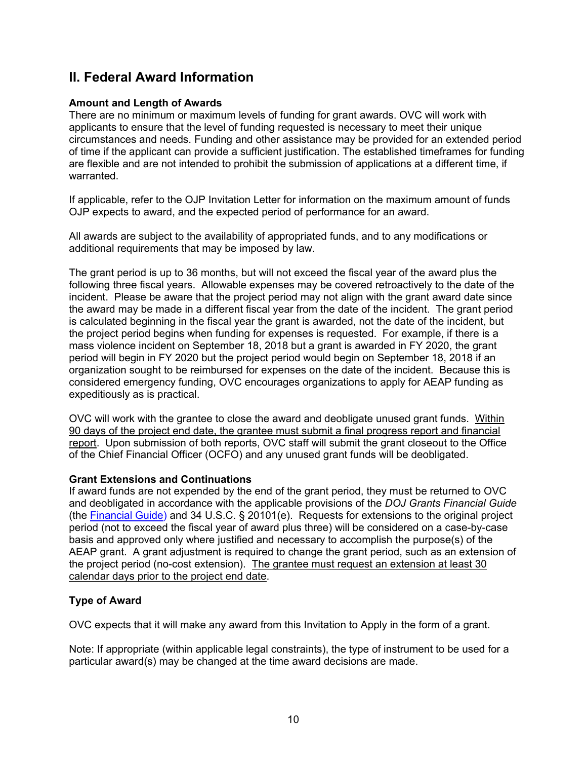## <span id="page-9-0"></span>**II. Federal Award Information**

#### **Amount and Length of Awards**

There are no minimum or maximum levels of funding for grant awards. OVC will work with applicants to ensure that the level of funding requested is necessary to meet their unique circumstances and needs. Funding and other assistance may be provided for an extended period of time if the applicant can provide a sufficient justification. The established timeframes for funding are flexible and are not intended to prohibit the submission of applications at a different time, if warranted.

If applicable, refer to the OJP Invitation Letter for information on the maximum amount of funds OJP expects to award, and the expected period of performance for an award.

All awards are subject to the availability of appropriated funds, and to any modifications or additional requirements that may be imposed by law.

The grant period is up to 36 months, but will not exceed the fiscal year of the award plus the following three fiscal years. Allowable expenses may be covered retroactively to the date of the incident. Please be aware that the project period may not align with the grant award date since the award may be made in a different fiscal year from the date of the incident. The grant period is calculated beginning in the fiscal year the grant is awarded, not the date of the incident, but the project period begins when funding for expenses is requested. For example, if there is a mass violence incident on September 18, 2018 but a grant is awarded in FY 2020, the grant period will begin in FY 2020 but the project period would begin on September 18, 2018 if an organization sought to be reimbursed for expenses on the date of the incident. Because this is considered emergency funding, OVC encourages organizations to apply for AEAP funding as expeditiously as is practical.

OVC will work with the grantee to close the award and deobligate unused grant funds. Within 90 days of the project end date, the grantee must submit a final progress report and financial report. Upon submission of both reports, OVC staff will submit the grant closeout to the Office of the Chief Financial Officer (OCFO) and any unused grant funds will be deobligated.

#### **Grant Extensions and Continuations**

If award funds are not expended by the end of the grant period, they must be returned to OVC and deobligated in accordance with the applicable provisions of the *DOJ Grants Financial Guide* (the [Financial Guide\)](http://ojp.gov/financialguide/DOJ/index.htm) and 34 U.S.C. § 20101(e). Requests for extensions to the original project period (not to exceed the fiscal year of award plus three) will be considered on a case-by-case basis and approved only where justified and necessary to accomplish the purpose(s) of the AEAP grant. A grant adjustment is required to change the grant period, such as an extension of the project period (no-cost extension). The grantee must request an extension at least 30 calendar days prior to the project end date.

#### <span id="page-9-1"></span>**Type of Award**

OVC expects that it will make any award from this Invitation to Apply in the form of a grant.

Note: If appropriate (within applicable legal constraints), the type of instrument to be used for a particular award(s) may be changed at the time award decisions are made.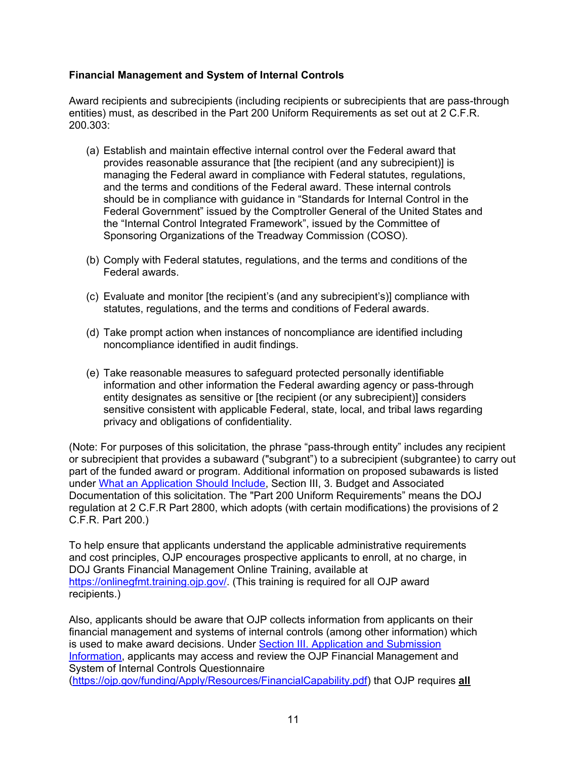#### <span id="page-10-0"></span>**Financial Management and System of Internal Controls**

Award recipients and subrecipients (including recipients or subrecipients that are pass-through entities) must, as described in the Part 200 Uniform Requirements as set out at 2 C.F.R. 200.303:

- (a) Establish and maintain effective internal control over the Federal award that provides reasonable assurance that [the recipient (and any subrecipient)] is managing the Federal award in compliance with Federal statutes, regulations, and the terms and conditions of the Federal award. These internal controls should be in compliance with guidance in "Standards for Internal Control in the Federal Government" issued by the Comptroller General of the United States and the "Internal Control Integrated Framework", issued by the Committee of Sponsoring Organizations of the Treadway Commission (COSO).
- (b) Comply with Federal statutes, regulations, and the terms and conditions of the Federal awards.
- (c) Evaluate and monitor [the recipient's (and any subrecipient's)] compliance with statutes, regulations, and the terms and conditions of Federal awards.
- (d) Take prompt action when instances of noncompliance are identified including noncompliance identified in audit findings.
- (e) Take reasonable measures to safeguard protected personally identifiable information and other information the Federal awarding agency or pass-through entity designates as sensitive or [the recipient (or any subrecipient)] considers sensitive consistent with applicable Federal, state, local, and tribal laws regarding privacy and obligations of confidentiality.

(Note: For purposes of this solicitation, the phrase "pass-through entity" includes any recipient or subrecipient that provides a subaward ("subgrant") to a subrecipient (subgrantee) to carry out part of the funded award or program. Additional information on proposed subawards is listed under [What an Application Should Include,](#page-12-3) Section III, 3. Budget and Associated Documentation of this solicitation. The "Part 200 Uniform Requirements" means the DOJ regulation at 2 C.F.R Part 2800, which adopts (with certain modifications) the provisions of 2 C.F.R. Part 200.)

To help ensure that applicants understand the applicable administrative requirements and cost principles, OJP encourages prospective applicants to enroll, at no charge, in DOJ Grants Financial Management Online Training, available at [https://onlinegfmt.training.ojp.gov/.](https://onlinegfmt.training.ojp.gov/) (This training is required for all OJP award recipients.)

Also, applicants should be aware that OJP collects information from applicants on their financial management and systems of internal controls (among other information) which is used to make award decisions. Under **Section III. Application and Submission** [Information,](#page-12-0) applicants may access and review the OJP Financial Management and System of Internal Controls Questionnaire [\(https://ojp.gov/funding/Apply/Resources/FinancialCapability.pdf\)](https://ojp.gov/funding/Apply/Resources/FinancialCapability.pdf) that OJP requires **all**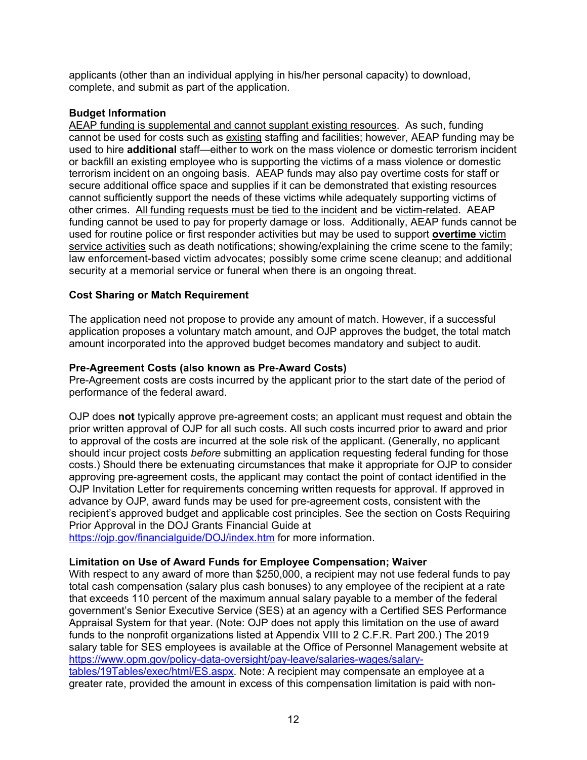applicants (other than an individual applying in his/her personal capacity) to download, complete, and submit as part of the application.

#### <span id="page-11-0"></span>**Budget Information**

AEAP funding is supplemental and cannot supplant existing resources. As such, funding cannot be used for costs such as existing staffing and facilities; however, AEAP funding may be used to hire **additional** staff—either to work on the mass violence or domestic terrorism incident or backfill an existing employee who is supporting the victims of a mass violence or domestic terrorism incident on an ongoing basis. AEAP funds may also pay overtime costs for staff or secure additional office space and supplies if it can be demonstrated that existing resources cannot sufficiently support the needs of these victims while adequately supporting victims of other crimes. All funding requests must be tied to the incident and be victim-related. AEAP funding cannot be used to pay for property damage or loss. Additionally, AEAP funds cannot be used for routine police or first responder activities but may be used to support **overtime** victim service activities such as death notifications; showing/explaining the crime scene to the family; law enforcement-based victim advocates; possibly some crime scene cleanup; and additional security at a memorial service or funeral when there is an ongoing threat.

#### <span id="page-11-1"></span>**Cost Sharing or Match Requirement**

The application need not propose to provide any amount of match. However, if a successful application proposes a voluntary match amount, and OJP approves the budget, the total match amount incorporated into the approved budget becomes mandatory and subject to audit.

#### <span id="page-11-2"></span>**Pre-Agreement Costs (also known as Pre-Award Costs)**

Pre-Agreement costs are costs incurred by the applicant prior to the start date of the period of performance of the federal award.

OJP does **not** typically approve pre-agreement costs; an applicant must request and obtain the prior written approval of OJP for all such costs. All such costs incurred prior to award and prior to approval of the costs are incurred at the sole risk of the applicant. (Generally, no applicant should incur project costs *before* submitting an application requesting federal funding for those costs.) Should there be extenuating circumstances that make it appropriate for OJP to consider approving pre-agreement costs, the applicant may contact the point of contact identified in the OJP Invitation Letter for requirements concerning written requests for approval. If approved in advance by OJP, award funds may be used for pre-agreement costs, consistent with the recipient's approved budget and applicable cost principles. See the section on Costs Requiring Prior Approval in the DOJ Grants Financial Guide at

https://ojp.gov/financialquide/DOJ/index.htm for more information.

#### <span id="page-11-3"></span>**Limitation on Use of Award Funds for Employee Compensation; Waiver**

With respect to any award of more than \$250,000, a recipient may not use federal funds to pay total cash compensation (salary plus cash bonuses) to any employee of the recipient at a rate that exceeds 110 percent of the maximum annual salary payable to a member of the federal government's Senior Executive Service (SES) at an agency with a Certified SES Performance Appraisal System for that year. (Note: OJP does not apply this limitation on the use of award funds to the nonprofit organizations listed at Appendix VIII to 2 C.F.R. Part 200.) The 2019 salary table for SES employees is available at the Office of Personnel Management website at [https://www.opm.gov/policy-data-oversight/pay-leave/salaries-wages/salary](https://www.opm.gov/policy-data-oversight/pay-leave/salaries-wages/salary-tables/19Tables/exec/html/ES.aspx)[tables/19Tables/exec/html/ES.aspx.](https://www.opm.gov/policy-data-oversight/pay-leave/salaries-wages/salary-tables/19Tables/exec/html/ES.aspx) Note: A recipient may compensate an employee at a

greater rate, provided the amount in excess of this compensation limitation is paid with non-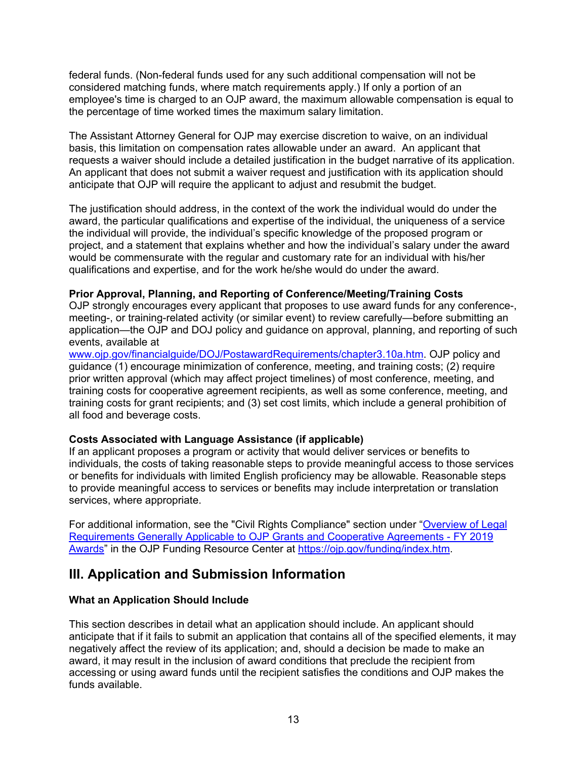federal funds. (Non-federal funds used for any such additional compensation will not be considered matching funds, where match requirements apply.) If only a portion of an employee's time is charged to an OJP award, the maximum allowable compensation is equal to the percentage of time worked times the maximum salary limitation.

The Assistant Attorney General for OJP may exercise discretion to waive, on an individual basis, this limitation on compensation rates allowable under an award. An applicant that requests a waiver should include a detailed justification in the budget narrative of its application. An applicant that does not submit a waiver request and justification with its application should anticipate that OJP will require the applicant to adjust and resubmit the budget.

The justification should address, in the context of the work the individual would do under the award, the particular qualifications and expertise of the individual, the uniqueness of a service the individual will provide, the individual's specific knowledge of the proposed program or project, and a statement that explains whether and how the individual's salary under the award would be commensurate with the regular and customary rate for an individual with his/her qualifications and expertise, and for the work he/she would do under the award.

#### <span id="page-12-1"></span>**Prior Approval, Planning, and Reporting of Conference/Meeting/Training Costs**

OJP strongly encourages every applicant that proposes to use award funds for any conference-, meeting-, or training-related activity (or similar event) to review carefully—before submitting an application—the OJP and DOJ policy and guidance on approval, planning, and reporting of such events, available at

[www.ojp.gov/financialguide/DOJ/PostawardRequirements/chapter3.10a.htm.](http://ojp.gov/financialguide/DOJ/PostawardRequirements/chapter3.10a.htm) OJP policy and guidance (1) encourage minimization of conference, meeting, and training costs; (2) require prior written approval (which may affect project timelines) of most conference, meeting, and training costs for cooperative agreement recipients, as well as some conference, meeting, and training costs for grant recipients; and (3) set cost limits, which include a general prohibition of all food and beverage costs.

#### <span id="page-12-2"></span>**Costs Associated with Language Assistance (if applicable)**

If an applicant proposes a program or activity that would deliver services or benefits to individuals, the costs of taking reasonable steps to provide meaningful access to those services or benefits for individuals with limited English proficiency may be allowable. Reasonable steps to provide meaningful access to services or benefits may include interpretation or translation services, where appropriate.

For additional information, see the "Civil Rights Compliance" section under ["Overview of Legal](https://ojp.gov/funding/Explore/LegalOverview2019/index.htm)  [Requirements Generally Applicable to OJP Grants and Cooperative Agreements -](https://ojp.gov/funding/Explore/LegalOverview2019/index.htm) FY 2019 [Awards"](https://ojp.gov/funding/Explore/LegalOverview2019/index.htm) in the OJP Funding Resource Center at [https://ojp.gov/funding/index.htm.](https://ojp.gov/funding/index.htm)

### <span id="page-12-0"></span>**III. Application and Submission Information**

#### <span id="page-12-3"></span>**What an Application Should Include**

This section describes in detail what an application should include. An applicant should anticipate that if it fails to submit an application that contains all of the specified elements, it may negatively affect the review of its application; and, should a decision be made to make an award, it may result in the inclusion of award conditions that preclude the recipient from accessing or using award funds until the recipient satisfies the conditions and OJP makes the funds available.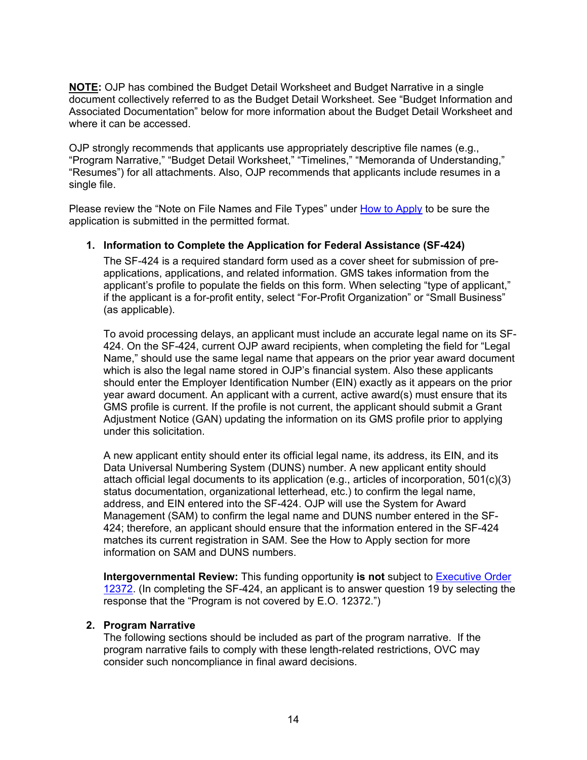**NOTE:** OJP has combined the Budget Detail Worksheet and Budget Narrative in a single document collectively referred to as the Budget Detail Worksheet. See "Budget Information and Associated Documentation" below for more information about the Budget Detail Worksheet and where it can be accessed.

OJP strongly recommends that applicants use appropriately descriptive file names (e.g., "Program Narrative," "Budget Detail Worksheet," "Timelines," "Memoranda of Understanding," "Resumes") for all attachments. Also, OJP recommends that applicants include resumes in a single file.

Please review the "Note on File Names and File Types" under [How to Apply](#page-25-0) to be sure the application is submitted in the permitted format.

#### **1. Information to Complete the Application for Federal Assistance (SF-424)**

The SF-424 is a required standard form used as a cover sheet for submission of preapplications, applications, and related information. GMS takes information from the applicant's profile to populate the fields on this form. When selecting "type of applicant," if the applicant is a for-profit entity, select "For-Profit Organization" or "Small Business" (as applicable).

To avoid processing delays, an applicant must include an accurate legal name on its SF-424. On the SF-424, current OJP award recipients, when completing the field for "Legal Name," should use the same legal name that appears on the prior year award document which is also the legal name stored in OJP's financial system. Also these applicants should enter the Employer Identification Number (EIN) exactly as it appears on the prior year award document. An applicant with a current, active award(s) must ensure that its GMS profile is current. If the profile is not current, the applicant should submit a Grant Adjustment Notice (GAN) updating the information on its GMS profile prior to applying under this solicitation.

A new applicant entity should enter its official legal name, its address, its EIN, and its Data Universal Numbering System (DUNS) number. A new applicant entity should attach official legal documents to its application (e.g., articles of incorporation, 501(c)(3) status documentation, organizational letterhead, etc.) to confirm the legal name, address, and EIN entered into the SF-424. OJP will use the System for Award Management (SAM) to confirm the legal name and DUNS number entered in the SF-424; therefore, an applicant should ensure that the information entered in the SF-424 matches its current registration in SAM. See the How to Apply section for more information on SAM and DUNS numbers.

**Intergovernmental Review:** This funding opportunity **is not** subject to [Executive Order](http://www.archives.gov/federal-register/codification/executive-order/12372.html)  [12372.](http://www.archives.gov/federal-register/codification/executive-order/12372.html) (In completing the SF-424, an applicant is to answer question 19 by selecting the response that the "Program is not covered by E.O. 12372.")

#### **2. Program Narrative**

The following sections should be included as part of the program narrative. If the program narrative fails to comply with these length-related restrictions, OVC may consider such noncompliance in final award decisions.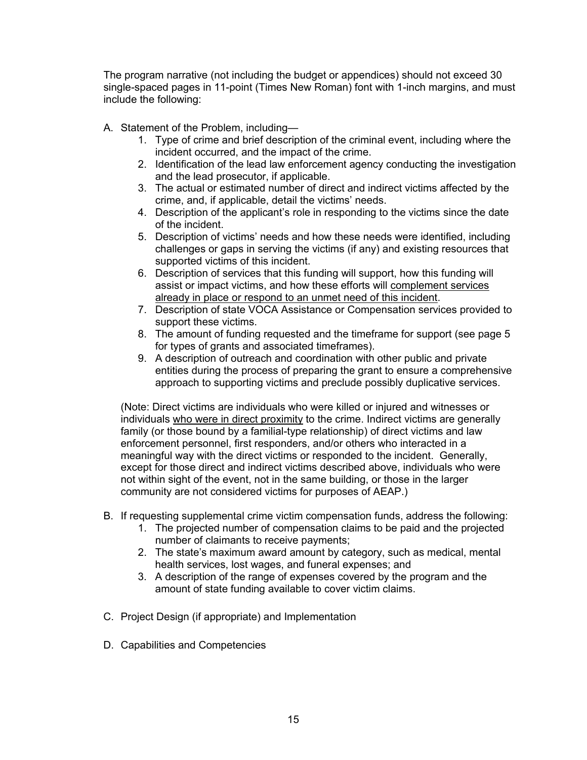The program narrative (not including the budget or appendices) should not exceed 30 single-spaced pages in 11-point (Times New Roman) font with 1-inch margins, and must include the following:

- A. Statement of the Problem, including—
	- 1. Type of crime and brief description of the criminal event, including where the incident occurred, and the impact of the crime.
	- 2. Identification of the lead law enforcement agency conducting the investigation and the lead prosecutor, if applicable.
	- 3. The actual or estimated number of direct and indirect victims affected by the crime, and, if applicable, detail the victims' needs.
	- 4. Description of the applicant's role in responding to the victims since the date of the incident.
	- 5. Description of victims' needs and how these needs were identified, including challenges or gaps in serving the victims (if any) and existing resources that supported victims of this incident.
	- 6. Description of services that this funding will support, how this funding will assist or impact victims, and how these efforts will complement services already in place or respond to an unmet need of this incident.
	- 7. Description of state VOCA Assistance or Compensation services provided to support these victims.
	- 8. The amount of funding requested and the timeframe for support (see page 5 for types of grants and associated timeframes).
	- 9. A description of outreach and coordination with other public and private entities during the process of preparing the grant to ensure a comprehensive approach to supporting victims and preclude possibly duplicative services.

(Note: Direct victims are individuals who were killed or injured and witnesses or individuals who were in direct proximity to the crime. Indirect victims are generally family (or those bound by a familial-type relationship) of direct victims and law enforcement personnel, first responders, and/or others who interacted in a meaningful way with the direct victims or responded to the incident. Generally, except for those direct and indirect victims described above, individuals who were not within sight of the event, not in the same building, or those in the larger community are not considered victims for purposes of AEAP.)

- B. If requesting supplemental crime victim compensation funds, address the following:
	- 1. The projected number of compensation claims to be paid and the projected number of claimants to receive payments;
	- 2. The state's maximum award amount by category, such as medical, mental health services, lost wages, and funeral expenses; and
	- 3. A description of the range of expenses covered by the program and the amount of state funding available to cover victim claims.
- C. Project Design (if appropriate) and Implementation
- D. Capabilities and Competencies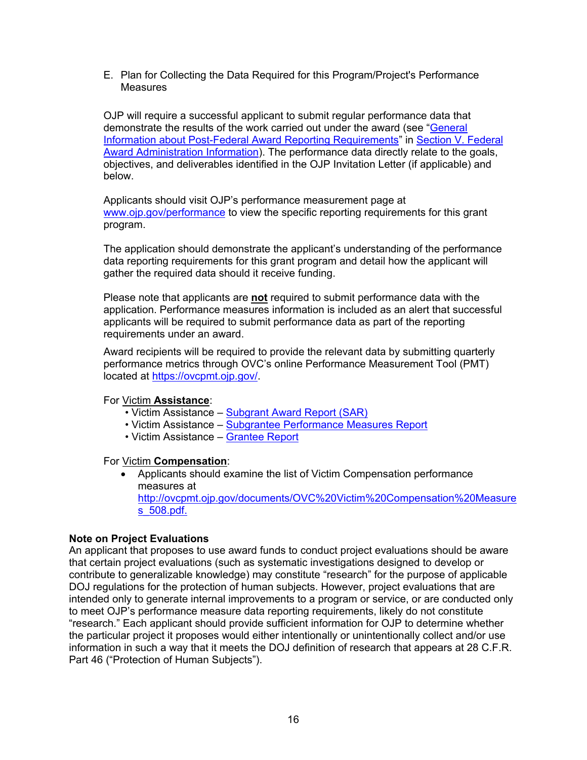E. Plan for Collecting the Data Required for this Program/Project's Performance **Measures** 

OJP will require a successful applicant to submit regular performance data that demonstrate the results of the work carried out under the award (see ["General](#page-29-1)  [Information about Post-Federal Award Reporting Requirements"](#page-29-1) in [Section V. Federal](#page-28-0)  [Award Administration Information\)](#page-28-0). The performance data directly relate to the goals, objectives, and deliverables identified in the OJP Invitation Letter (if applicable) and below.

Applicants should visit OJP's performance measurement page at [www.ojp.gov/performance](https://www.ojp.gov/performance) to view the specific reporting requirements for this grant program.

The application should demonstrate the applicant's understanding of the performance data reporting requirements for this grant program and detail how the applicant will gather the required data should it receive funding.

Please note that applicants are **not** required to submit performance data with the application. Performance measures information is included as an alert that successful applicants will be required to submit performance data as part of the reporting requirements under an award.

Award recipients will be required to provide the relevant data by submitting quarterly performance metrics through OVC's online Performance Measurement Tool (PMT) located at [https://ovcpmt.ojp.gov/.](https://ovcpmt.ojp.gov/)

#### For Victim **Assistance**:

- Victim Assistance [Subgrant Award Report \(SAR\)](http://ovcpmt.ojp.gov/documents/Victim%20Assistance%20-%20SAR%20June%20-%202017.pdf)
- Victim Assistance [Subgrantee Performance Measures Report](http://ovcpmt.ojp.gov/documents/Victim%20Assistance%20-%20Subgrantee%20Data%20Report%20-%20June%202017.pdf)
- Victim Assistance [Grantee Report](http://ovcpmt.ojp.gov/documents/Victim%20Assistance%20-%20Grantee%20Report.pdf)

For Victim **Compensation**:

• Applicants should examine the list of Victim Compensation performance measures at [http://ovcpmt.ojp.gov/documents/OVC%20Victim%20Compensation%20Measure](http://ovcpmt.ojp.gov/documents/OVC%20Victim%20Compensation%20Measures_508.pdf) [s\\_508.pdf.](http://ovcpmt.ojp.gov/documents/OVC%20Victim%20Compensation%20Measures_508.pdf)

#### **Note on Project Evaluations**

An applicant that proposes to use award funds to conduct project evaluations should be aware that certain project evaluations (such as systematic investigations designed to develop or contribute to generalizable knowledge) may constitute "research" for the purpose of applicable DOJ regulations for the protection of human subjects. However, project evaluations that are intended only to generate internal improvements to a program or service, or are conducted only to meet OJP's performance measure data reporting requirements, likely do not constitute "research." Each applicant should provide sufficient information for OJP to determine whether the particular project it proposes would either intentionally or unintentionally collect and/or use information in such a way that it meets the DOJ definition of research that appears at 28 C.F.R. Part 46 ("Protection of Human Subjects").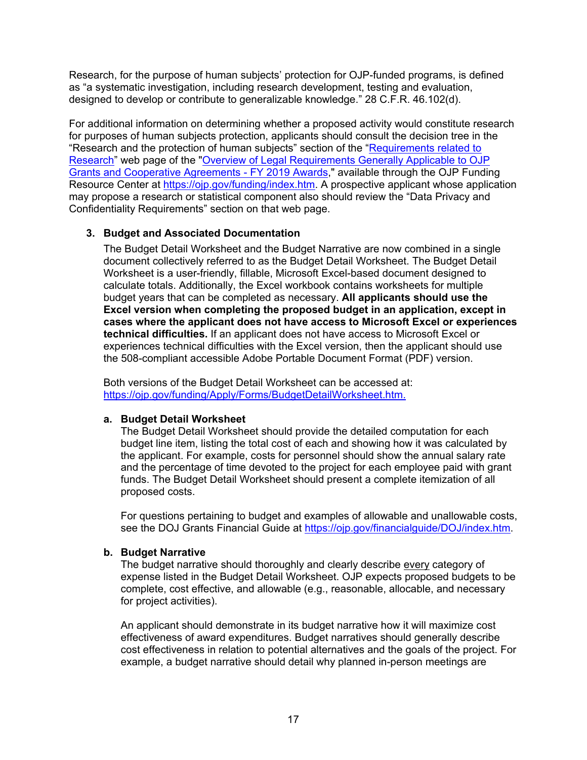Research, for the purpose of human subjects' protection for OJP-funded programs, is defined as "a systematic investigation, including research development, testing and evaluation, designed to develop or contribute to generalizable knowledge." 28 C.F.R. 46.102(d).

For additional information on determining whether a proposed activity would constitute research for purposes of human subjects protection, applicants should consult the decision tree in the "Research and the protection of human subjects" section of the ["Requirements related to](https://ojp.gov/funding/Explore/LegalOverview2019/ResearchRelatedRequirements.htm)  [Research"](https://ojp.gov/funding/Explore/LegalOverview2019/ResearchRelatedRequirements.htm) web page of the ["Overview of Legal Requirements Generally Applicable to OJP](https://ojp.gov/funding/Explore/LegalOverview2019/index.htm)  [Grants and Cooperative Agreements -](https://ojp.gov/funding/Explore/LegalOverview2019/index.htm) FY 2019 Awards," available through the OJP Funding Resource Center at [https://ojp.gov/funding/index.htm.](https://ojp.gov/funding/index.htm) A prospective applicant whose application may propose a research or statistical component also should review the "Data Privacy and Confidentiality Requirements" section on that web page.

#### **3. Budget and Associated Documentation**

The Budget Detail Worksheet and the Budget Narrative are now combined in a single document collectively referred to as the Budget Detail Worksheet. The Budget Detail Worksheet is a user-friendly, fillable, Microsoft Excel-based document designed to calculate totals. Additionally, the Excel workbook contains worksheets for multiple budget years that can be completed as necessary. **All applicants should use the Excel version when completing the proposed budget in an application, except in cases where the applicant does not have access to Microsoft Excel or experiences technical difficulties.** If an applicant does not have access to Microsoft Excel or experiences technical difficulties with the Excel version, then the applicant should use the 508-compliant accessible Adobe Portable Document Format (PDF) version.

Both versions of the Budget Detail Worksheet can be accessed at: [https://ojp.gov/funding/Apply/Forms/BudgetDetailWorksheet.htm.](https://ojp.gov/funding/Apply/Forms/BudgetDetailWorksheet.htm)

#### **a. Budget Detail Worksheet**

The Budget Detail Worksheet should provide the detailed computation for each budget line item, listing the total cost of each and showing how it was calculated by the applicant. For example, costs for personnel should show the annual salary rate and the percentage of time devoted to the project for each employee paid with grant funds. The Budget Detail Worksheet should present a complete itemization of all proposed costs.

For questions pertaining to budget and examples of allowable and unallowable costs, see the DOJ Grants Financial Guide at [https://ojp.gov/financialguide/DOJ/index.htm.](https://ojp.gov/financialguide/DOJ/index.htm)

#### **b. Budget Narrative**

The budget narrative should thoroughly and clearly describe every category of expense listed in the Budget Detail Worksheet. OJP expects proposed budgets to be complete, cost effective, and allowable (e.g., reasonable, allocable, and necessary for project activities).

An applicant should demonstrate in its budget narrative how it will maximize cost effectiveness of award expenditures. Budget narratives should generally describe cost effectiveness in relation to potential alternatives and the goals of the project. For example, a budget narrative should detail why planned in-person meetings are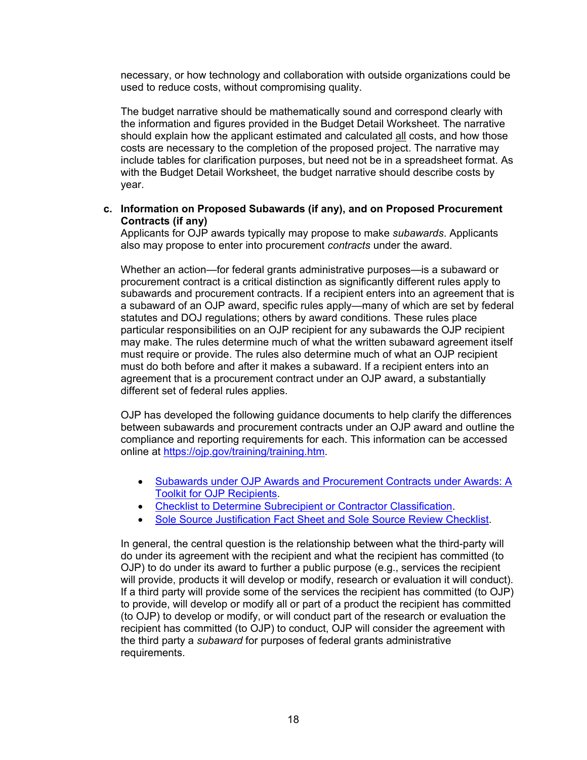necessary, or how technology and collaboration with outside organizations could be used to reduce costs, without compromising quality.

The budget narrative should be mathematically sound and correspond clearly with the information and figures provided in the Budget Detail Worksheet. The narrative should explain how the applicant estimated and calculated all costs, and how those costs are necessary to the completion of the proposed project. The narrative may include tables for clarification purposes, but need not be in a spreadsheet format. As with the Budget Detail Worksheet, the budget narrative should describe costs by year.

#### **c. Information on Proposed Subawards (if any), and on Proposed Procurement Contracts (if any)**

Applicants for OJP awards typically may propose to make *subawards*. Applicants also may propose to enter into procurement *contracts* under the award.

Whether an action—for federal grants administrative purposes—is a subaward or procurement contract is a critical distinction as significantly different rules apply to subawards and procurement contracts. If a recipient enters into an agreement that is a subaward of an OJP award, specific rules apply—many of which are set by federal statutes and DOJ regulations; others by award conditions. These rules place particular responsibilities on an OJP recipient for any subawards the OJP recipient may make. The rules determine much of what the written subaward agreement itself must require or provide. The rules also determine much of what an OJP recipient must do both before and after it makes a subaward. If a recipient enters into an agreement that is a procurement contract under an OJP award, a substantially different set of federal rules applies.

OJP has developed the following guidance documents to help clarify the differences between subawards and procurement contracts under an OJP award and outline the compliance and reporting requirements for each. This information can be accessed online at [https://ojp.gov/training/training.htm.](https://ojp.gov/training/training.htm)

- [Subawards under OJP Awards and Procurement Contracts under Awards: A](http://links.govdelivery.com/track?type=click&enid=ZWFzPTEmbXNpZD0mYXVpZD0mbWFpbGluZ2lkPTIwMTcwNzE3Ljc1OTkyNjAxJm1lc3NhZ2VpZD1NREItUFJELUJVTC0yMDE3MDcxNy43NTk5MjYwMSZkYXRhYmFzZWlkPTEwMDEmc2VyaWFsPTE3MDc5NDk3JmVtYWlsaWQ9bHVjeS5tdW5nbGVAb2pwLnVzZG9qLmdvdiZ1c2VyaWQ9bHVjeS5tdW5nbGVAb2pwLnVzZG9qLmdvdiZ0YXJnZXRpZD0mZmw9Jm12aWQ9JmV4dHJhPSYmJg==&&&101&&&https://ojp.gov/training/pdfs/Subaward-Procure-Toolkit-D.pdf)  [Toolkit for OJP Recipients.](http://links.govdelivery.com/track?type=click&enid=ZWFzPTEmbXNpZD0mYXVpZD0mbWFpbGluZ2lkPTIwMTcwNzE3Ljc1OTkyNjAxJm1lc3NhZ2VpZD1NREItUFJELUJVTC0yMDE3MDcxNy43NTk5MjYwMSZkYXRhYmFzZWlkPTEwMDEmc2VyaWFsPTE3MDc5NDk3JmVtYWlsaWQ9bHVjeS5tdW5nbGVAb2pwLnVzZG9qLmdvdiZ1c2VyaWQ9bHVjeS5tdW5nbGVAb2pwLnVzZG9qLmdvdiZ0YXJnZXRpZD0mZmw9Jm12aWQ9JmV4dHJhPSYmJg==&&&101&&&https://ojp.gov/training/pdfs/Subaward-Procure-Toolkit-D.pdf)
- [Checklist to Determine Subrecipient or Contractor Classification.](http://links.govdelivery.com/track?type=click&enid=ZWFzPTEmbXNpZD0mYXVpZD0mbWFpbGluZ2lkPTIwMTcwNzE3Ljc1OTkyNjAxJm1lc3NhZ2VpZD1NREItUFJELUJVTC0yMDE3MDcxNy43NTk5MjYwMSZkYXRhYmFzZWlkPTEwMDEmc2VyaWFsPTE3MDc5NDk3JmVtYWlsaWQ9bHVjeS5tdW5nbGVAb2pwLnVzZG9qLmdvdiZ1c2VyaWQ9bHVjeS5tdW5nbGVAb2pwLnVzZG9qLmdvdiZ0YXJnZXRpZD0mZmw9Jm12aWQ9JmV4dHJhPSYmJg==&&&102&&&https://ojp.gov/training/pdfs/Subrecipient-Procure-cklist-B.pdf)
- [Sole Source Justification Fact Sheet and Sole Source Review Checklist.](http://links.govdelivery.com/track?type=click&enid=ZWFzPTEmbXNpZD0mYXVpZD0mbWFpbGluZ2lkPTIwMTcwNzE3Ljc1OTkyNjAxJm1lc3NhZ2VpZD1NREItUFJELUJVTC0yMDE3MDcxNy43NTk5MjYwMSZkYXRhYmFzZWlkPTEwMDEmc2VyaWFsPTE3MDc5NDk3JmVtYWlsaWQ9bHVjeS5tdW5nbGVAb2pwLnVzZG9qLmdvdiZ1c2VyaWQ9bHVjeS5tdW5nbGVAb2pwLnVzZG9qLmdvdiZ0YXJnZXRpZD0mZmw9Jm12aWQ9JmV4dHJhPSYmJg==&&&103&&&https://ojp.gov/training/pdfs/Sole-Source-FactSheet-C.pdf)

In general, the central question is the relationship between what the third-party will do under its agreement with the recipient and what the recipient has committed (to OJP) to do under its award to further a public purpose (e.g., services the recipient will provide, products it will develop or modify, research or evaluation it will conduct). If a third party will provide some of the services the recipient has committed (to OJP) to provide, will develop or modify all or part of a product the recipient has committed (to OJP) to develop or modify, or will conduct part of the research or evaluation the recipient has committed (to OJP) to conduct, OJP will consider the agreement with the third party a *subaward* for purposes of federal grants administrative requirements.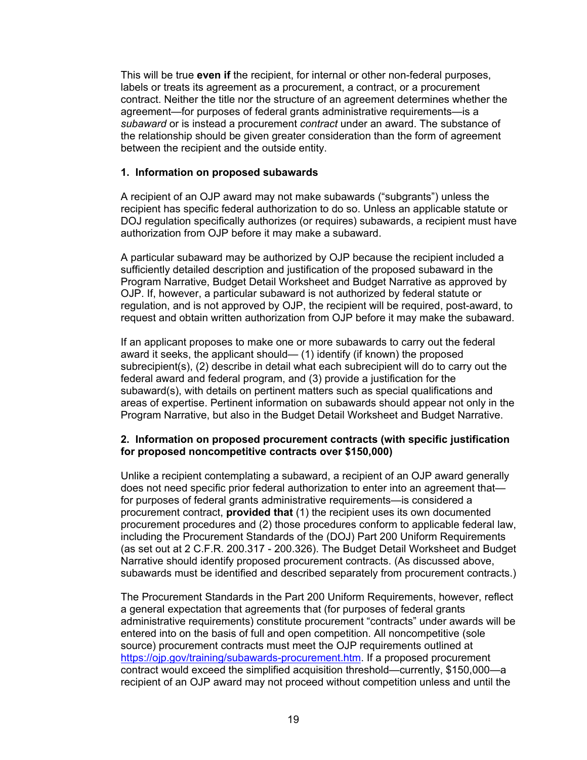This will be true **even if** the recipient, for internal or other non-federal purposes, labels or treats its agreement as a procurement, a contract, or a procurement contract. Neither the title nor the structure of an agreement determines whether the agreement—for purposes of federal grants administrative requirements—is a *subaward* or is instead a procurement *contract* under an award. The substance of the relationship should be given greater consideration than the form of agreement between the recipient and the outside entity.

#### **1. Information on proposed subawards**

A recipient of an OJP award may not make subawards ("subgrants") unless the recipient has specific federal authorization to do so. Unless an applicable statute or DOJ regulation specifically authorizes (or requires) subawards, a recipient must have authorization from OJP before it may make a subaward.

A particular subaward may be authorized by OJP because the recipient included a sufficiently detailed description and justification of the proposed subaward in the Program Narrative, Budget Detail Worksheet and Budget Narrative as approved by OJP. If, however, a particular subaward is not authorized by federal statute or regulation, and is not approved by OJP, the recipient will be required, post-award, to request and obtain written authorization from OJP before it may make the subaward.

If an applicant proposes to make one or more subawards to carry out the federal award it seeks, the applicant should— (1) identify (if known) the proposed subrecipient(s), (2) describe in detail what each subrecipient will do to carry out the federal award and federal program, and (3) provide a justification for the subaward(s), with details on pertinent matters such as special qualifications and areas of expertise. Pertinent information on subawards should appear not only in the Program Narrative, but also in the Budget Detail Worksheet and Budget Narrative.

#### **2. Information on proposed procurement contracts (with specific justification for proposed noncompetitive contracts over \$150,000)**

Unlike a recipient contemplating a subaward, a recipient of an OJP award generally does not need specific prior federal authorization to enter into an agreement that for purposes of federal grants administrative requirements—is considered a procurement contract, **provided that** (1) the recipient uses its own documented procurement procedures and (2) those procedures conform to applicable federal law, including the Procurement Standards of the (DOJ) Part 200 Uniform Requirements (as set out at 2 C.F.R. 200.317 - 200.326). The Budget Detail Worksheet and Budget Narrative should identify proposed procurement contracts. (As discussed above, subawards must be identified and described separately from procurement contracts.)

The Procurement Standards in the Part 200 Uniform Requirements, however, reflect a general expectation that agreements that (for purposes of federal grants administrative requirements) constitute procurement "contracts" under awards will be entered into on the basis of full and open competition. All noncompetitive (sole source) procurement contracts must meet the OJP requirements outlined at [https://ojp.gov/training/subawards-procurement.htm.](https://ojp.gov/training/subawards-procurement.htm) If a proposed procurement contract would exceed the simplified acquisition threshold—currently, \$150,000—a recipient of an OJP award may not proceed without competition unless and until the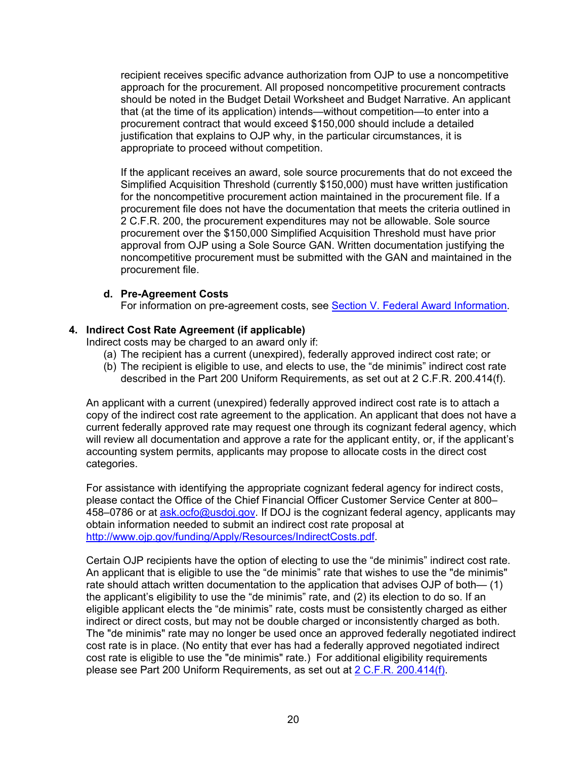recipient receives specific advance authorization from OJP to use a noncompetitive approach for the procurement. All proposed noncompetitive procurement contracts should be noted in the Budget Detail Worksheet and Budget Narrative. An applicant that (at the time of its application) intends—without competition—to enter into a procurement contract that would exceed \$150,000 should include a detailed justification that explains to OJP why, in the particular circumstances, it is appropriate to proceed without competition.

If the applicant receives an award, sole source procurements that do not exceed the Simplified Acquisition Threshold (currently \$150,000) must have written justification for the noncompetitive procurement action maintained in the procurement file. If a procurement file does not have the documentation that meets the criteria outlined in 2 C.F.R. 200, the procurement expenditures may not be allowable. Sole source procurement over the \$150,000 Simplified Acquisition Threshold must have prior approval from OJP using a Sole Source GAN. Written documentation justifying the noncompetitive procurement must be submitted with the GAN and maintained in the procurement file.

#### **d. Pre-Agreement Costs**

For information on pre-agreement costs, see Section [V. Federal Award Information.](#page-28-0)

#### **4. Indirect Cost Rate Agreement (if applicable)**

Indirect costs may be charged to an award only if:

- (a) The recipient has a current (unexpired), federally approved indirect cost rate; or
- (b) The recipient is eligible to use, and elects to use, the "de minimis" indirect cost rate described in the Part 200 Uniform Requirements, as set out at 2 C.F.R. 200.414(f).

An applicant with a current (unexpired) federally approved indirect cost rate is to attach a copy of the indirect cost rate agreement to the application. An applicant that does not have a current federally approved rate may request one through its cognizant federal agency, which will review all documentation and approve a rate for the applicant entity, or, if the applicant's accounting system permits, applicants may propose to allocate costs in the direct cost categories.

For assistance with identifying the appropriate cognizant federal agency for indirect costs, please contact the Office of the Chief Financial Officer Customer Service Center at 800– 458–0786 or at [ask.ocfo@usdoj.gov.](mailto:ask.ocfo@usdoj.gov) If DOJ is the cognizant federal agency, applicants may obtain information needed to submit an indirect cost rate proposal at [http://www.ojp.gov/funding/Apply/Resources/IndirectCosts.pdf.](http://www.ojp.gov/funding/Apply/Resources/IndirectCosts.pdf)

Certain OJP recipients have the option of electing to use the "de minimis" indirect cost rate. An applicant that is eligible to use the "de minimis" rate that wishes to use the "de minimis" rate should attach written documentation to the application that advises OJP of both— (1) the applicant's eligibility to use the "de minimis" rate, and (2) its election to do so. If an eligible applicant elects the "de minimis" rate, costs must be consistently charged as either indirect or direct costs, but may not be double charged or inconsistently charged as both. The "de minimis" rate may no longer be used once an approved federally negotiated indirect cost rate is in place. (No entity that ever has had a federally approved negotiated indirect cost rate is eligible to use the "de minimis" rate.) For additional eligibility requirements please see Part 200 Uniform Requirements, as set out at [2 C.F.R. 200.414\(f\).](https://www.ecfr.gov/cgi-bin/text-idx?node=se2.1.200_1414&rgn=div8)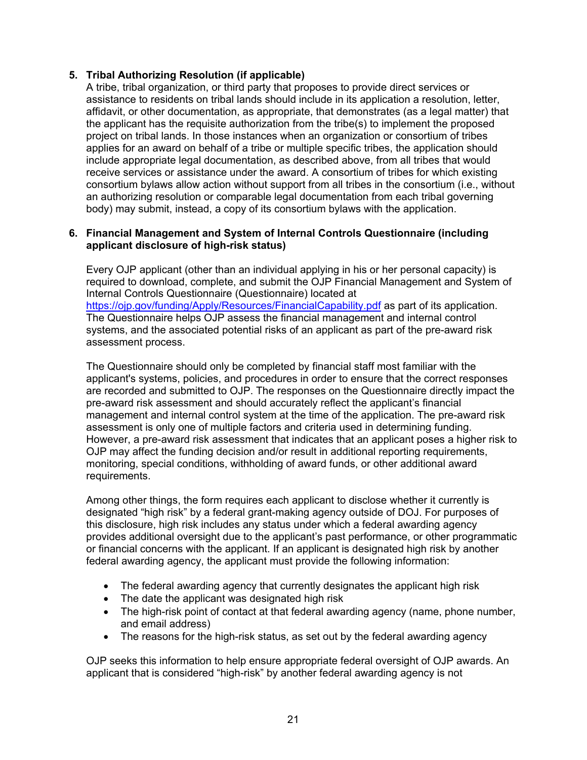#### **5. Tribal Authorizing Resolution (if applicable)**

A tribe, tribal organization, or third party that proposes to provide direct services or assistance to residents on tribal lands should include in its application a resolution, letter, affidavit, or other documentation, as appropriate, that demonstrates (as a legal matter) that the applicant has the requisite authorization from the tribe(s) to implement the proposed project on tribal lands. In those instances when an organization or consortium of tribes applies for an award on behalf of a tribe or multiple specific tribes, the application should include appropriate legal documentation, as described above, from all tribes that would receive services or assistance under the award. A consortium of tribes for which existing consortium bylaws allow action without support from all tribes in the consortium (i.e., without an authorizing resolution or comparable legal documentation from each tribal governing body) may submit, instead, a copy of its consortium bylaws with the application.

#### **6. Financial Management and System of Internal Controls Questionnaire (including applicant disclosure of high-risk status)**

Every OJP applicant (other than an individual applying in his or her personal capacity) is required to download, complete, and submit the OJP Financial Management and System of Internal Controls Questionnaire (Questionnaire) located at <https://ojp.gov/funding/Apply/Resources/FinancialCapability.pdf> as part of its application. The Questionnaire helps OJP assess the financial management and internal control systems, and the associated potential risks of an applicant as part of the pre-award risk assessment process.

The Questionnaire should only be completed by financial staff most familiar with the applicant's systems, policies, and procedures in order to ensure that the correct responses are recorded and submitted to OJP. The responses on the Questionnaire directly impact the pre-award risk assessment and should accurately reflect the applicant's financial management and internal control system at the time of the application. The pre-award risk assessment is only one of multiple factors and criteria used in determining funding. However, a pre-award risk assessment that indicates that an applicant poses a higher risk to OJP may affect the funding decision and/or result in additional reporting requirements, monitoring, special conditions, withholding of award funds, or other additional award requirements.

Among other things, the form requires each applicant to disclose whether it currently is designated "high risk" by a federal grant-making agency outside of DOJ. For purposes of this disclosure, high risk includes any status under which a federal awarding agency provides additional oversight due to the applicant's past performance, or other programmatic or financial concerns with the applicant. If an applicant is designated high risk by another federal awarding agency, the applicant must provide the following information:

- The federal awarding agency that currently designates the applicant high risk
- The date the applicant was designated high risk
- The high-risk point of contact at that federal awarding agency (name, phone number, and email address)
- The reasons for the high-risk status, as set out by the federal awarding agency

OJP seeks this information to help ensure appropriate federal oversight of OJP awards. An applicant that is considered "high-risk" by another federal awarding agency is not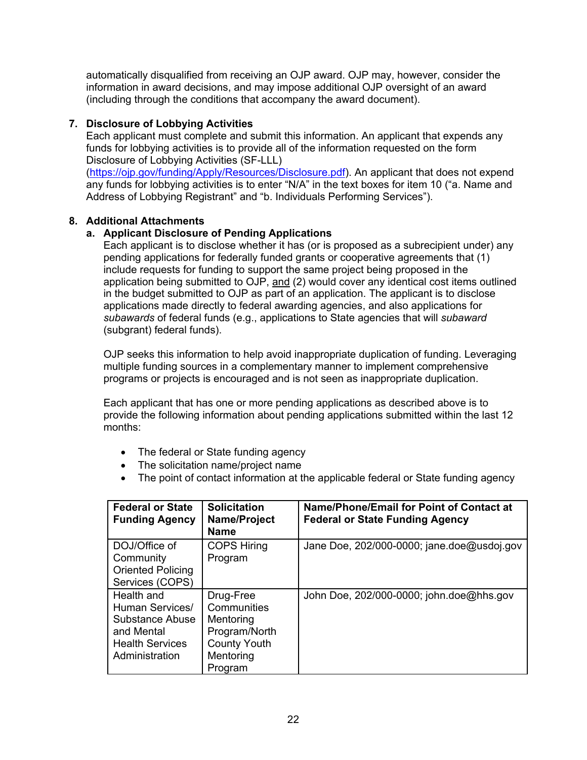automatically disqualified from receiving an OJP award. OJP may, however, consider the information in award decisions, and may impose additional OJP oversight of an award (including through the conditions that accompany the award document).

#### **7. Disclosure of Lobbying Activities**

Each applicant must complete and submit this information. An applicant that expends any funds for lobbying activities is to provide all of the information requested on the form Disclosure of Lobbying Activities (SF-LLL)

[\(https://ojp.gov/funding/Apply/Resources/Disclosure.pdf\)](https://ojp.gov/funding/Apply/Resources/Disclosure.pdf). An applicant that does not expend any funds for lobbying activities is to enter "N/A" in the text boxes for item 10 ("a. Name and Address of Lobbying Registrant" and "b. Individuals Performing Services").

#### **8. Additional Attachments**

#### **a. Applicant Disclosure of Pending Applications**

Each applicant is to disclose whether it has (or is proposed as a subrecipient under) any pending applications for federally funded grants or cooperative agreements that (1) include requests for funding to support the same project being proposed in the application being submitted to OJP, and (2) would cover any identical cost items outlined in the budget submitted to OJP as part of an application. The applicant is to disclose applications made directly to federal awarding agencies, and also applications for *subawards* of federal funds (e.g., applications to State agencies that will *subaward* (subgrant) federal funds).

OJP seeks this information to help avoid inappropriate duplication of funding. Leveraging multiple funding sources in a complementary manner to implement comprehensive programs or projects is encouraged and is not seen as inappropriate duplication.

Each applicant that has one or more pending applications as described above is to provide the following information about pending applications submitted within the last 12 months:

- The federal or State funding agency
- The solicitation name/project name
- The point of contact information at the applicable federal or State funding agency

| <b>Federal or State</b><br><b>Funding Agency</b>                                                           | <b>Solicitation</b><br>Name/Project<br><b>Name</b>                                                    | Name/Phone/Email for Point of Contact at<br><b>Federal or State Funding Agency</b> |
|------------------------------------------------------------------------------------------------------------|-------------------------------------------------------------------------------------------------------|------------------------------------------------------------------------------------|
| DOJ/Office of<br>Community<br><b>Oriented Policing</b><br>Services (COPS)                                  | <b>COPS Hiring</b><br>Program                                                                         | Jane Doe, 202/000-0000; jane.doe@usdoj.gov                                         |
| Health and<br>Human Services/<br>Substance Abuse<br>and Mental<br><b>Health Services</b><br>Administration | Drug-Free<br>Communities<br>Mentoring<br>Program/North<br><b>County Youth</b><br>Mentoring<br>Program | John Doe, 202/000-0000; john.doe@hhs.gov                                           |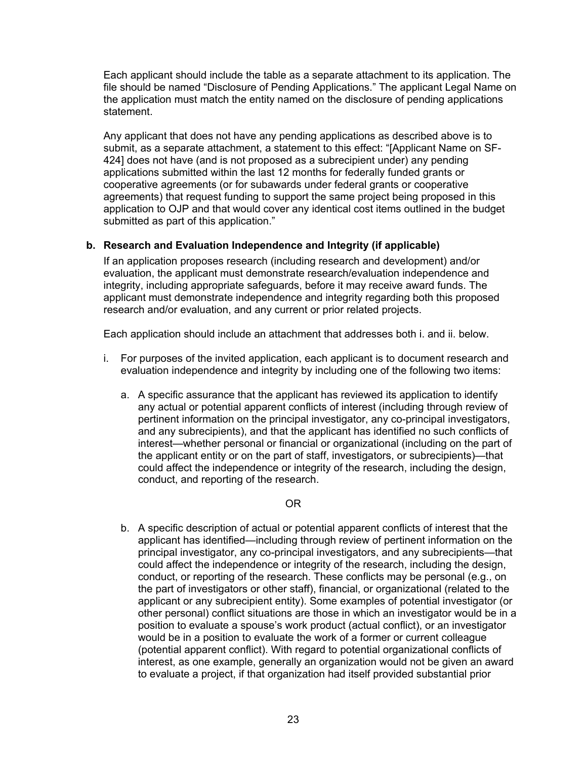Each applicant should include the table as a separate attachment to its application. The file should be named "Disclosure of Pending Applications." The applicant Legal Name on the application must match the entity named on the disclosure of pending applications statement.

Any applicant that does not have any pending applications as described above is to submit, as a separate attachment, a statement to this effect: "[Applicant Name on SF-424] does not have (and is not proposed as a subrecipient under) any pending applications submitted within the last 12 months for federally funded grants or cooperative agreements (or for subawards under federal grants or cooperative agreements) that request funding to support the same project being proposed in this application to OJP and that would cover any identical cost items outlined in the budget submitted as part of this application."

#### **b. Research and Evaluation Independence and Integrity (if applicable)**

If an application proposes research (including research and development) and/or evaluation, the applicant must demonstrate research/evaluation independence and integrity, including appropriate safeguards, before it may receive award funds. The applicant must demonstrate independence and integrity regarding both this proposed research and/or evaluation, and any current or prior related projects.

Each application should include an attachment that addresses both i. and ii. below.

- i. For purposes of the invited application, each applicant is to document research and evaluation independence and integrity by including one of the following two items:
	- a. A specific assurance that the applicant has reviewed its application to identify any actual or potential apparent conflicts of interest (including through review of pertinent information on the principal investigator, any co-principal investigators, and any subrecipients), and that the applicant has identified no such conflicts of interest—whether personal or financial or organizational (including on the part of the applicant entity or on the part of staff, investigators, or subrecipients)—that could affect the independence or integrity of the research, including the design, conduct, and reporting of the research.

#### OR

b. A specific description of actual or potential apparent conflicts of interest that the applicant has identified—including through review of pertinent information on the principal investigator, any co-principal investigators, and any subrecipients—that could affect the independence or integrity of the research, including the design, conduct, or reporting of the research. These conflicts may be personal (e.g., on the part of investigators or other staff), financial, or organizational (related to the applicant or any subrecipient entity). Some examples of potential investigator (or other personal) conflict situations are those in which an investigator would be in a position to evaluate a spouse's work product (actual conflict), or an investigator would be in a position to evaluate the work of a former or current colleague (potential apparent conflict). With regard to potential organizational conflicts of interest, as one example, generally an organization would not be given an award to evaluate a project, if that organization had itself provided substantial prior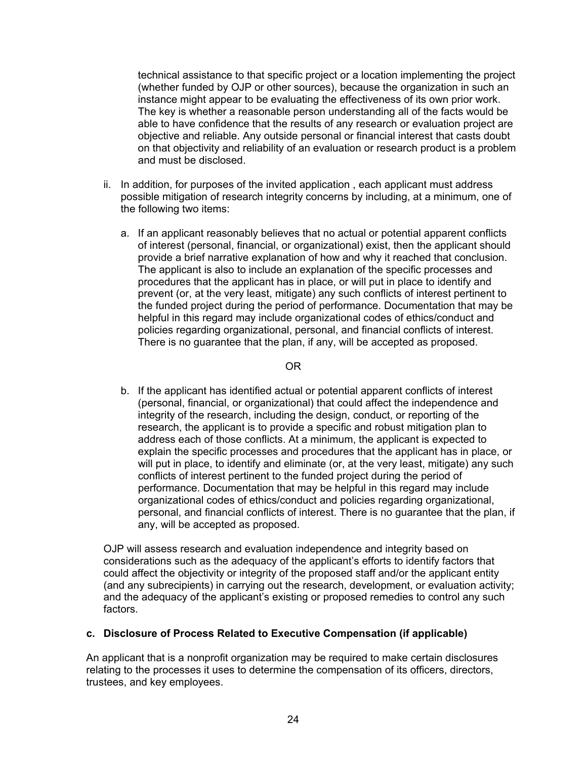technical assistance to that specific project or a location implementing the project (whether funded by OJP or other sources), because the organization in such an instance might appear to be evaluating the effectiveness of its own prior work. The key is whether a reasonable person understanding all of the facts would be able to have confidence that the results of any research or evaluation project are objective and reliable. Any outside personal or financial interest that casts doubt on that objectivity and reliability of an evaluation or research product is a problem and must be disclosed.

- ii. In addition, for purposes of the invited application , each applicant must address possible mitigation of research integrity concerns by including, at a minimum, one of the following two items:
	- a. If an applicant reasonably believes that no actual or potential apparent conflicts of interest (personal, financial, or organizational) exist, then the applicant should provide a brief narrative explanation of how and why it reached that conclusion. The applicant is also to include an explanation of the specific processes and procedures that the applicant has in place, or will put in place to identify and prevent (or, at the very least, mitigate) any such conflicts of interest pertinent to the funded project during the period of performance. Documentation that may be helpful in this regard may include organizational codes of ethics/conduct and policies regarding organizational, personal, and financial conflicts of interest. There is no guarantee that the plan, if any, will be accepted as proposed.

#### OR

b. If the applicant has identified actual or potential apparent conflicts of interest (personal, financial, or organizational) that could affect the independence and integrity of the research, including the design, conduct, or reporting of the research, the applicant is to provide a specific and robust mitigation plan to address each of those conflicts. At a minimum, the applicant is expected to explain the specific processes and procedures that the applicant has in place, or will put in place, to identify and eliminate (or, at the very least, mitigate) any such conflicts of interest pertinent to the funded project during the period of performance. Documentation that may be helpful in this regard may include organizational codes of ethics/conduct and policies regarding organizational, personal, and financial conflicts of interest. There is no guarantee that the plan, if any, will be accepted as proposed.

OJP will assess research and evaluation independence and integrity based on considerations such as the adequacy of the applicant's efforts to identify factors that could affect the objectivity or integrity of the proposed staff and/or the applicant entity (and any subrecipients) in carrying out the research, development, or evaluation activity; and the adequacy of the applicant's existing or proposed remedies to control any such factors.

#### **c. Disclosure of Process Related to Executive Compensation (if applicable)**

An applicant that is a nonprofit organization may be required to make certain disclosures relating to the processes it uses to determine the compensation of its officers, directors, trustees, and key employees.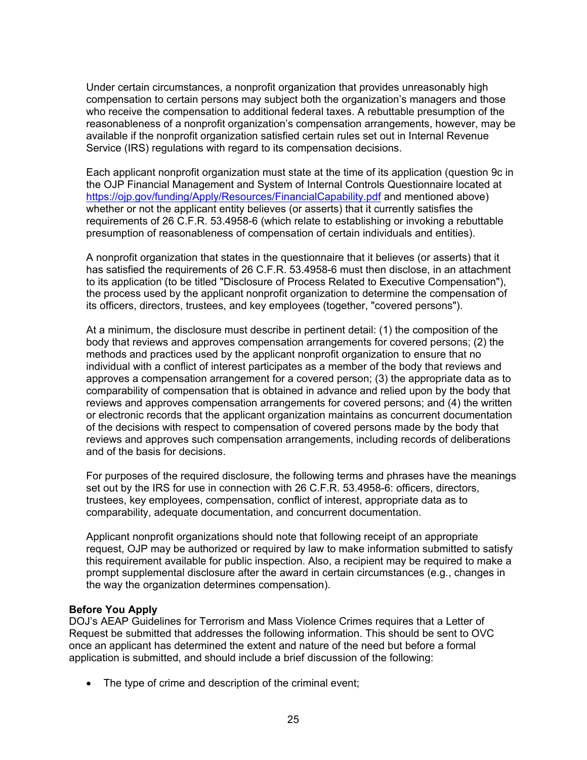Under certain circumstances, a nonprofit organization that provides unreasonably high compensation to certain persons may subject both the organization's managers and those who receive the compensation to additional federal taxes. A rebuttable presumption of the reasonableness of a nonprofit organization's compensation arrangements, however, may be available if the nonprofit organization satisfied certain rules set out in Internal Revenue Service (IRS) regulations with regard to its compensation decisions.

Each applicant nonprofit organization must state at the time of its application (question 9c in the OJP Financial Management and System of Internal Controls Questionnaire located at https://oip.gov/funding/Apply/Resources/FinancialCapability.pdf and mentioned above) whether or not the applicant entity believes (or asserts) that it currently satisfies the requirements of 26 C.F.R. 53.4958-6 (which relate to establishing or invoking a rebuttable presumption of reasonableness of compensation of certain individuals and entities).

A nonprofit organization that states in the questionnaire that it believes (or asserts) that it has satisfied the requirements of 26 C.F.R. 53.4958-6 must then disclose, in an attachment to its application (to be titled "Disclosure of Process Related to Executive Compensation"), the process used by the applicant nonprofit organization to determine the compensation of its officers, directors, trustees, and key employees (together, "covered persons").

At a minimum, the disclosure must describe in pertinent detail: (1) the composition of the body that reviews and approves compensation arrangements for covered persons; (2) the methods and practices used by the applicant nonprofit organization to ensure that no individual with a conflict of interest participates as a member of the body that reviews and approves a compensation arrangement for a covered person; (3) the appropriate data as to comparability of compensation that is obtained in advance and relied upon by the body that reviews and approves compensation arrangements for covered persons; and (4) the written or electronic records that the applicant organization maintains as concurrent documentation of the decisions with respect to compensation of covered persons made by the body that reviews and approves such compensation arrangements, including records of deliberations and of the basis for decisions.

For purposes of the required disclosure, the following terms and phrases have the meanings set out by the IRS for use in connection with 26 C.F.R. 53.4958-6: officers, directors, trustees, key employees, compensation, conflict of interest, appropriate data as to comparability, adequate documentation, and concurrent documentation.

Applicant nonprofit organizations should note that following receipt of an appropriate request, OJP may be authorized or required by law to make information submitted to satisfy this requirement available for public inspection. Also, a recipient may be required to make a prompt supplemental disclosure after the award in certain circumstances (e.g., changes in the way the organization determines compensation).

#### <span id="page-24-0"></span>**Before You Apply**

DOJ's AEAP Guidelines for Terrorism and Mass Violence Crimes requires that a Letter of Request be submitted that addresses the following information. This should be sent to OVC once an applicant has determined the extent and nature of the need but before a formal application is submitted, and should include a brief discussion of the following:

• The type of crime and description of the criminal event;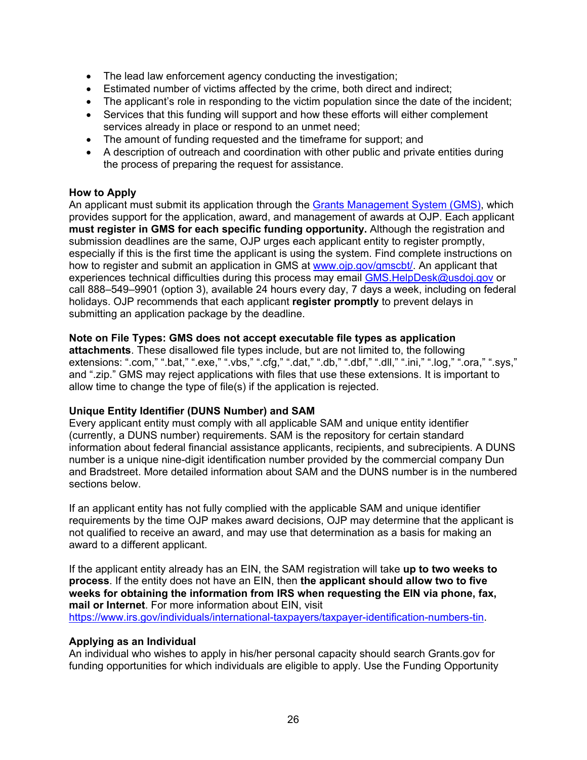- The lead law enforcement agency conducting the investigation;
- Estimated number of victims affected by the crime, both direct and indirect;
- The applicant's role in responding to the victim population since the date of the incident:
- Services that this funding will support and how these efforts will either complement services already in place or respond to an unmet need;
- The amount of funding requested and the timeframe for support; and
- A description of outreach and coordination with other public and private entities during the process of preparing the request for assistance.

#### <span id="page-25-0"></span>**How to Apply**

An applicant must submit its application through the [Grants Management System \(GMS\),](https://grants.ojp.usdoj.gov/gmsexternal/) which provides support for the application, award, and management of awards at OJP. Each applicant **must register in GMS for each specific funding opportunity.** Although the registration and submission deadlines are the same, OJP urges each applicant entity to register promptly, especially if this is the first time the applicant is using the system. Find complete instructions on how to register and submit an application in GMS at www.oip.gov/gmscbt/. An applicant that experiences technical difficulties during this process may email [GMS.HelpDesk@usdoj.gov](mailto:GMS.HelpDesk@usdoj.gov) or call 888–549–9901 (option 3), available 24 hours every day, 7 days a week, including on federal holidays. OJP recommends that each applicant **register promptly** to prevent delays in submitting an application package by the deadline.

#### **Note on File Types: GMS does not accept executable file types as application**

**attachments**. These disallowed file types include, but are not limited to, the following extensions: ".com," ".bat," ".exe," ".vbs," ".cfg," ".dat," ".db," ".dbf," ".dll," ".ini," ".log," ".ora," ".sys," and ".zip." GMS may reject applications with files that use these extensions. It is important to allow time to change the type of file(s) if the application is rejected.

#### **Unique Entity Identifier (DUNS Number) and SAM**

Every applicant entity must comply with all applicable SAM and unique entity identifier (currently, a DUNS number) requirements. SAM is the repository for certain standard information about federal financial assistance applicants, recipients, and subrecipients. A DUNS number is a unique nine-digit identification number provided by the commercial company Dun and Bradstreet. More detailed information about SAM and the DUNS number is in the numbered sections below.

If an applicant entity has not fully complied with the applicable SAM and unique identifier requirements by the time OJP makes award decisions, OJP may determine that the applicant is not qualified to receive an award, and may use that determination as a basis for making an award to a different applicant.

If the applicant entity already has an EIN, the SAM registration will take **up to two weeks to process**. If the entity does not have an EIN, then **the applicant should allow two to five weeks for obtaining the information from IRS when requesting the EIN via phone, fax, mail or Internet**. For more information about EIN, visit [https://www.irs.gov/individuals/international-taxpayers/taxpayer-identification-numbers-tin.](https://www.irs.gov/individuals/international-taxpayers/taxpayer-identification-numbers-tin)

#### **Applying as an Individual**

An individual who wishes to apply in his/her personal capacity should search Grants.gov for funding opportunities for which individuals are eligible to apply. Use the Funding Opportunity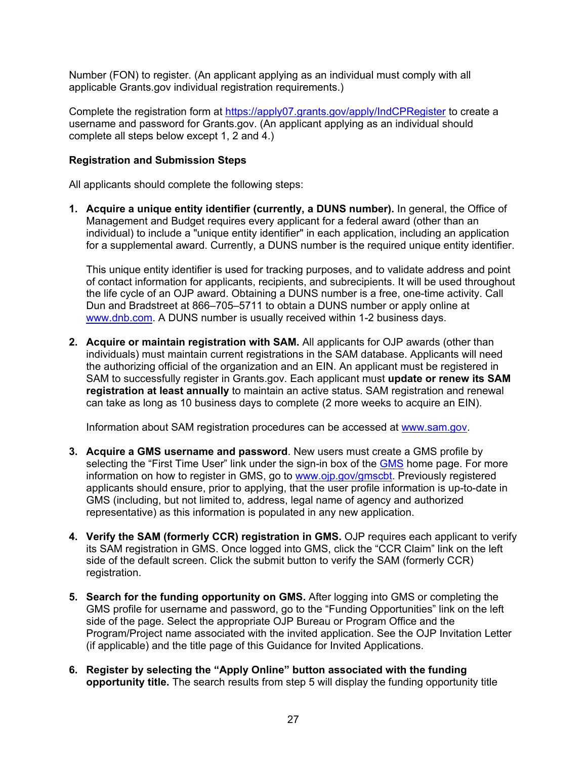Number (FON) to register. (An applicant applying as an individual must comply with all applicable Grants.gov individual registration requirements.)

Complete the registration form at<https://apply07.grants.gov/apply/IndCPRegister> to create a username and password for Grants.gov. (An applicant applying as an individual should complete all steps below except 1, 2 and 4.)

#### **Registration and Submission Steps**

All applicants should complete the following steps:

**1. Acquire a unique entity identifier (currently, a DUNS number).** In general, the Office of Management and Budget requires every applicant for a federal award (other than an individual) to include a "unique entity identifier" in each application, including an application for a supplemental award. Currently, a DUNS number is the required unique entity identifier.

This unique entity identifier is used for tracking purposes, and to validate address and point of contact information for applicants, recipients, and subrecipients. It will be used throughout the life cycle of an OJP award. Obtaining a DUNS number is a free, one-time activity. Call Dun and Bradstreet at 866–705–5711 to obtain a DUNS number or apply online at [www.dnb.com.](http://www.dnb.com/) A DUNS number is usually received within 1-2 business days.

**2. Acquire or maintain registration with SAM.** All applicants for OJP awards (other than individuals) must maintain current registrations in the SAM database. Applicants will need the authorizing official of the organization and an EIN. An applicant must be registered in SAM to successfully register in Grants.gov. Each applicant must **update or renew its SAM registration at least annually** to maintain an active status. SAM registration and renewal can take as long as 10 business days to complete (2 more weeks to acquire an EIN).

Information about SAM registration procedures can be accessed at [www.sam.gov.](hhttps://www.sam.gov/SAM/)

- **3. Acquire a GMS username and password**. New users must create a GMS profile by selecting the "First Time User" link under the sign-in box of the [GMS](https://grants.ojp.usdoj.gov/gmsexternal/login.do) home page. For more information on how to register in GMS, go to [www.ojp.gov/gmscbt.](http://ojp.gov/gmscbt) Previously registered applicants should ensure, prior to applying, that the user profile information is up-to-date in GMS (including, but not limited to, address, legal name of agency and authorized representative) as this information is populated in any new application.
- **4. Verify the SAM (formerly CCR) registration in GMS.** OJP requires each applicant to verify its SAM registration in GMS. Once logged into GMS, click the "CCR Claim" link on the left side of the default screen. Click the submit button to verify the SAM (formerly CCR) registration.
- **5. Search for the funding opportunity on GMS.** After logging into GMS or completing the GMS profile for username and password, go to the "Funding Opportunities" link on the left side of the page. Select the appropriate OJP Bureau or Program Office and the Program/Project name associated with the invited application. See the OJP Invitation Letter (if applicable) and the title page of this Guidance for Invited Applications.
- **6. Register by selecting the "Apply Online" button associated with the funding opportunity title.** The search results from step 5 will display the funding opportunity title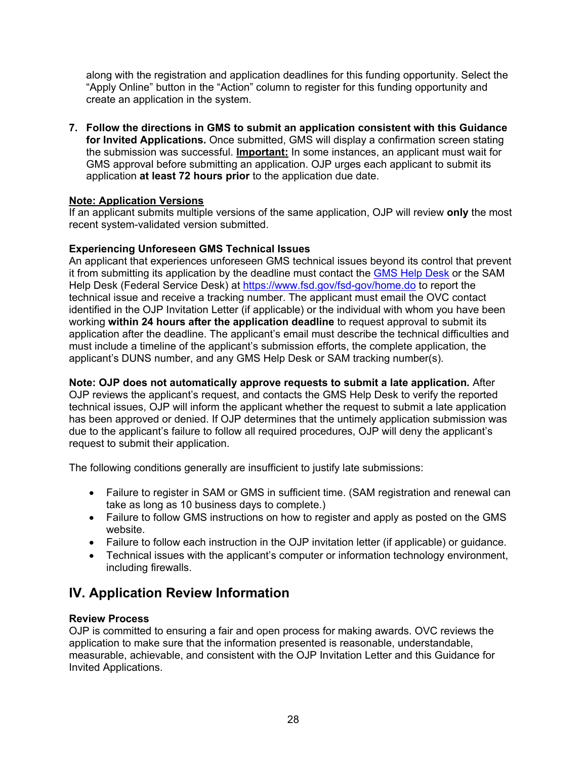along with the registration and application deadlines for this funding opportunity. Select the "Apply Online" button in the "Action" column to register for this funding opportunity and create an application in the system.

**7. Follow the directions in GMS to submit an application consistent with this Guidance for Invited Applications.** Once submitted, GMS will display a confirmation screen stating the submission was successful. **Important:** In some instances, an applicant must wait for GMS approval before submitting an application. OJP urges each applicant to submit its application **at least 72 hours prior** to the application due date.

#### **Note: Application Versions**

If an applicant submits multiple versions of the same application, OJP will review **only** the most recent system-validated version submitted.

#### **Experiencing Unforeseen GMS Technical Issues**

An applicant that experiences unforeseen GMS technical issues beyond its control that prevent it from submitting its application by the deadline must contact the [GMS Help Desk](mailto:GMS.HelpDesk@usdoj.gov) or the SAM Help Desk (Federal Service Desk) at<https://www.fsd.gov/fsd-gov/home.do> to report the technical issue and receive a tracking number. The applicant must email the OVC contact identified in the OJP Invitation Letter (if applicable) or the individual with whom you have been working **within 24 hours after the application deadline** to request approval to submit its application after the deadline. The applicant's email must describe the technical difficulties and must include a timeline of the applicant's submission efforts, the complete application, the applicant's DUNS number, and any GMS Help Desk or SAM tracking number(s).

**Note: OJP does not automatically approve requests to submit a late application***.* After OJP reviews the applicant's request, and contacts the GMS Help Desk to verify the reported technical issues, OJP will inform the applicant whether the request to submit a late application has been approved or denied. If OJP determines that the untimely application submission was due to the applicant's failure to follow all required procedures, OJP will deny the applicant's request to submit their application.

The following conditions generally are insufficient to justify late submissions:

- Failure to register in SAM or GMS in sufficient time. (SAM registration and renewal can take as long as 10 business days to complete.)
- Failure to follow GMS instructions on how to register and apply as posted on the GMS website.
- Failure to follow each instruction in the OJP invitation letter (if applicable) or guidance.
- Technical issues with the applicant's computer or information technology environment, including firewalls.

## <span id="page-27-0"></span>**IV. Application Review Information**

#### <span id="page-27-1"></span>**Review Process**

OJP is committed to ensuring a fair and open process for making awards. OVC reviews the application to make sure that the information presented is reasonable, understandable, measurable, achievable, and consistent with the OJP Invitation Letter and this Guidance for Invited Applications.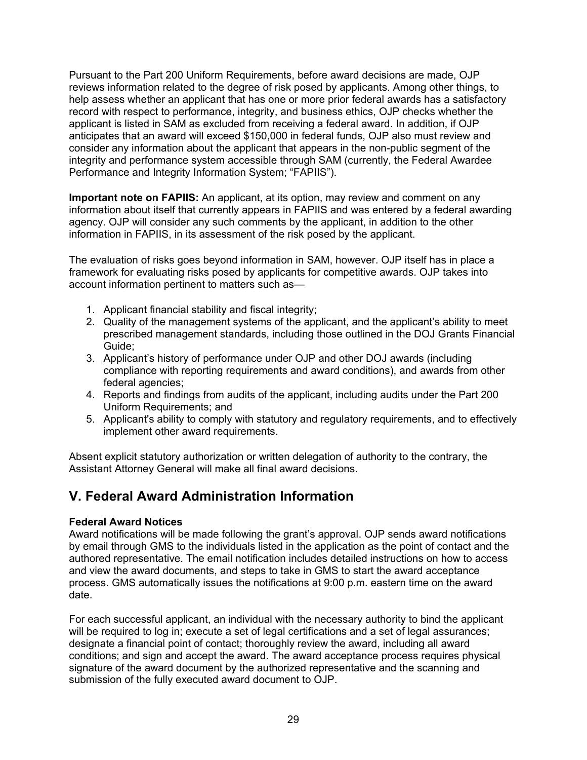Pursuant to the Part 200 Uniform Requirements, before award decisions are made, OJP reviews information related to the degree of risk posed by applicants. Among other things, to help assess whether an applicant that has one or more prior federal awards has a satisfactory record with respect to performance, integrity, and business ethics, OJP checks whether the applicant is listed in SAM as excluded from receiving a federal award. In addition, if OJP anticipates that an award will exceed \$150,000 in federal funds, OJP also must review and consider any information about the applicant that appears in the non-public segment of the integrity and performance system accessible through SAM (currently, the Federal Awardee Performance and Integrity Information System; "FAPIIS").

**Important note on FAPIIS:** An applicant, at its option, may review and comment on any information about itself that currently appears in FAPIIS and was entered by a federal awarding agency. OJP will consider any such comments by the applicant, in addition to the other information in FAPIIS, in its assessment of the risk posed by the applicant.

The evaluation of risks goes beyond information in SAM, however. OJP itself has in place a framework for evaluating risks posed by applicants for competitive awards. OJP takes into account information pertinent to matters such as—

- 1. Applicant financial stability and fiscal integrity;
- 2. Quality of the management systems of the applicant, and the applicant's ability to meet prescribed management standards, including those outlined in the DOJ Grants Financial Guide;
- 3. Applicant's history of performance under OJP and other DOJ awards (including compliance with reporting requirements and award conditions), and awards from other federal agencies;
- 4. Reports and findings from audits of the applicant, including audits under the Part 200 Uniform Requirements; and
- 5. Applicant's ability to comply with statutory and regulatory requirements, and to effectively implement other award requirements.

Absent explicit statutory authorization or written delegation of authority to the contrary, the Assistant Attorney General will make all final award decisions.

## <span id="page-28-0"></span>**V. Federal Award Administration Information**

#### <span id="page-28-1"></span>**Federal Award Notices**

Award notifications will be made following the grant's approval. OJP sends award notifications by email through GMS to the individuals listed in the application as the point of contact and the authored representative. The email notification includes detailed instructions on how to access and view the award documents, and steps to take in GMS to start the award acceptance process. GMS automatically issues the notifications at 9:00 p.m. eastern time on the award date.

For each successful applicant, an individual with the necessary authority to bind the applicant will be required to log in; execute a set of legal certifications and a set of legal assurances; designate a financial point of contact; thoroughly review the award, including all award conditions; and sign and accept the award. The award acceptance process requires physical signature of the award document by the authorized representative and the scanning and submission of the fully executed award document to OJP.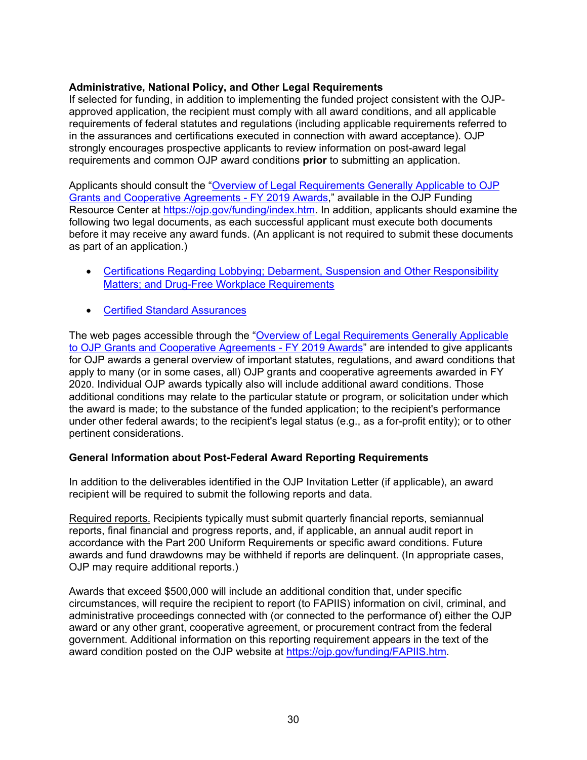#### <span id="page-29-0"></span>**Administrative, National Policy, and Other Legal Requirements**

If selected for funding, in addition to implementing the funded project consistent with the OJPapproved application, the recipient must comply with all award conditions, and all applicable requirements of federal statutes and regulations (including applicable requirements referred to in the assurances and certifications executed in connection with award acceptance). OJP strongly encourages prospective applicants to review information on post-award legal requirements and common OJP award conditions **prior** to submitting an application.

Applicants should consult the ["Overview of Legal Requirements Generally Applicable to OJP](https://ojp.gov/funding/Explore/LegalOverview2019/index.htm)  [Grants and Cooperative Agreements -](https://ojp.gov/funding/Explore/LegalOverview2019/index.htm) FY 2019 Awards," available in the OJP Funding Resource Center at [https://ojp.gov/funding/index.htm.](https://ojp.gov/funding/index.htm) In addition, applicants should examine the following two legal documents, as each successful applicant must execute both documents before it may receive any award funds. (An applicant is not required to submit these documents as part of an application.)

- Certifications Regarding Lobbying: Debarment, Suspension and Other Responsibility [Matters; and Drug-Free Workplace Requirements](http://ojp.gov/funding/Apply/Resources/Certifications.pdf)
- [Certified Standard Assurances](http://ojp.gov/funding/Apply/Resources/StandardAssurances.pdf)

The web pages accessible through the "Overview of Legal Requirements Generally Applicable [to OJP Grants and Cooperative Agreements -](https://ojp.gov/funding/Explore/LegalOverview2019/index.htm) FY 2019 Awards" are intended to give applicants for OJP awards a general overview of important statutes, regulations, and award conditions that apply to many (or in some cases, all) OJP grants and cooperative agreements awarded in FY 2020. Individual OJP awards typically also will include additional award conditions. Those additional conditions may relate to the particular statute or program, or solicitation under which the award is made; to the substance of the funded application; to the recipient's performance under other federal awards; to the recipient's legal status (e.g., as a for-profit entity); or to other pertinent considerations.

#### <span id="page-29-1"></span>**General Information about Post-Federal Award Reporting Requirements**

In addition to the deliverables identified in the OJP Invitation Letter (if applicable), an award recipient will be required to submit the following reports and data.

Required reports. Recipients typically must submit quarterly financial reports, semiannual reports, final financial and progress reports, and, if applicable, an annual audit report in accordance with the Part 200 Uniform Requirements or specific award conditions. Future awards and fund drawdowns may be withheld if reports are delinquent. (In appropriate cases, OJP may require additional reports.)

Awards that exceed \$500,000 will include an additional condition that, under specific circumstances, will require the recipient to report (to FAPIIS) information on civil, criminal, and administrative proceedings connected with (or connected to the performance of) either the OJP award or any other grant, cooperative agreement, or procurement contract from the federal government. Additional information on this reporting requirement appears in the text of the award condition posted on the OJP website at [https://ojp.gov/funding/FAPIIS.htm.](https://ojp.gov/funding/FAPIIS.htm)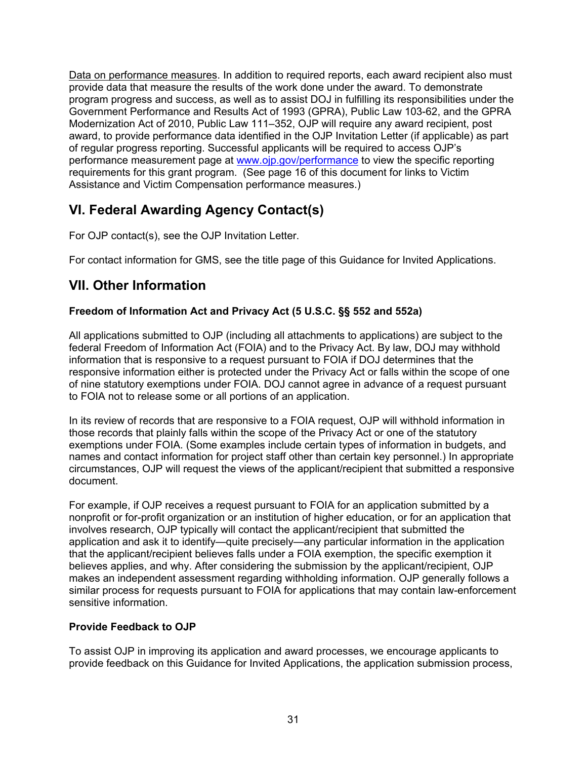Data on performance measures. In addition to required reports, each award recipient also must provide data that measure the results of the work done under the award. To demonstrate program progress and success, as well as to assist DOJ in fulfilling its responsibilities under the Government Performance and Results Act of 1993 (GPRA), Public Law 103-62, and the GPRA Modernization Act of 2010, Public Law 111–352, OJP will require any award recipient, post award, to provide performance data identified in the OJP Invitation Letter (if applicable) as part of regular progress reporting. Successful applicants will be required to access OJP's performance measurement page at [www.ojp.gov/performance](https://www.ojp.gov/performance) to view the specific reporting requirements for this grant program. (See page 16 of this document for links to Victim Assistance and Victim Compensation performance measures.)

## <span id="page-30-0"></span>**VI. Federal Awarding Agency Contact(s)**

For OJP contact(s), see the OJP Invitation Letter.

For contact information for GMS, see the title page of this Guidance for Invited Applications.

## <span id="page-30-1"></span>**VII. Other Information**

#### <span id="page-30-2"></span>**Freedom of Information Act and Privacy Act (5 U.S.C. §§ 552 and 552a)**

All applications submitted to OJP (including all attachments to applications) are subject to the federal Freedom of Information Act (FOIA) and to the Privacy Act. By law, DOJ may withhold information that is responsive to a request pursuant to FOIA if DOJ determines that the responsive information either is protected under the Privacy Act or falls within the scope of one of nine statutory exemptions under FOIA. DOJ cannot agree in advance of a request pursuant to FOIA not to release some or all portions of an application.

In its review of records that are responsive to a FOIA request, OJP will withhold information in those records that plainly falls within the scope of the Privacy Act or one of the statutory exemptions under FOIA. (Some examples include certain types of information in budgets, and names and contact information for project staff other than certain key personnel.) In appropriate circumstances, OJP will request the views of the applicant/recipient that submitted a responsive document.

For example, if OJP receives a request pursuant to FOIA for an application submitted by a nonprofit or for-profit organization or an institution of higher education, or for an application that involves research, OJP typically will contact the applicant/recipient that submitted the application and ask it to identify—quite precisely—any particular information in the application that the applicant/recipient believes falls under a FOIA exemption, the specific exemption it believes applies, and why. After considering the submission by the applicant/recipient, OJP makes an independent assessment regarding withholding information. OJP generally follows a similar process for requests pursuant to FOIA for applications that may contain law-enforcement sensitive information.

#### <span id="page-30-3"></span>**Provide Feedback to OJP**

To assist OJP in improving its application and award processes, we encourage applicants to provide feedback on this Guidance for Invited Applications, the application submission process,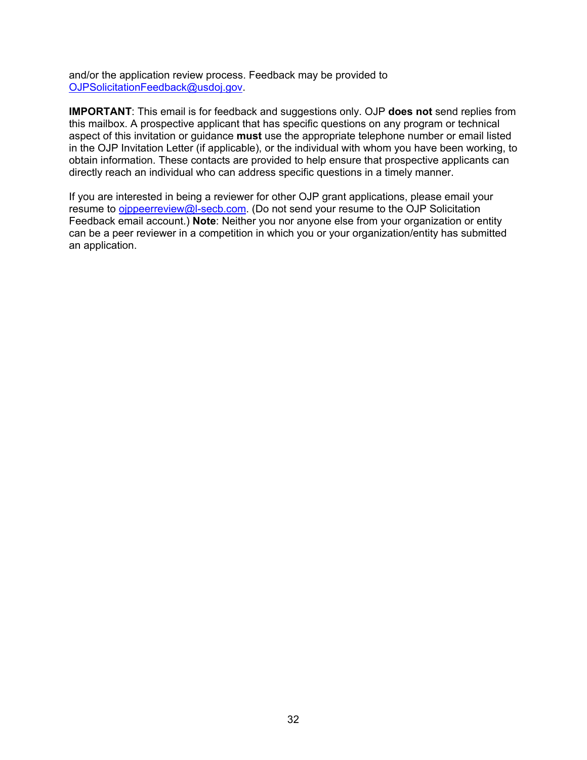and/or the application review process. Feedback may be provided to [OJPSolicitationFeedback@usdoj.gov.](mailto:OJPSolicitationFeedback@usdoj.gov)

**IMPORTANT**: This email is for feedback and suggestions only. OJP **does not** send replies from this mailbox. A prospective applicant that has specific questions on any program or technical aspect of this invitation or guidance **must** use the appropriate telephone number or email listed in the OJP Invitation Letter (if applicable), or the individual with whom you have been working, to obtain information. These contacts are provided to help ensure that prospective applicants can directly reach an individual who can address specific questions in a timely manner.

If you are interested in being a reviewer for other OJP grant applications, please email your resume to oippeerreview@l-secb.com. (Do not send your resume to the OJP Solicitation Feedback email account.) **Note**: Neither you nor anyone else from your organization or entity can be a peer reviewer in a competition in which you or your organization/entity has submitted an application.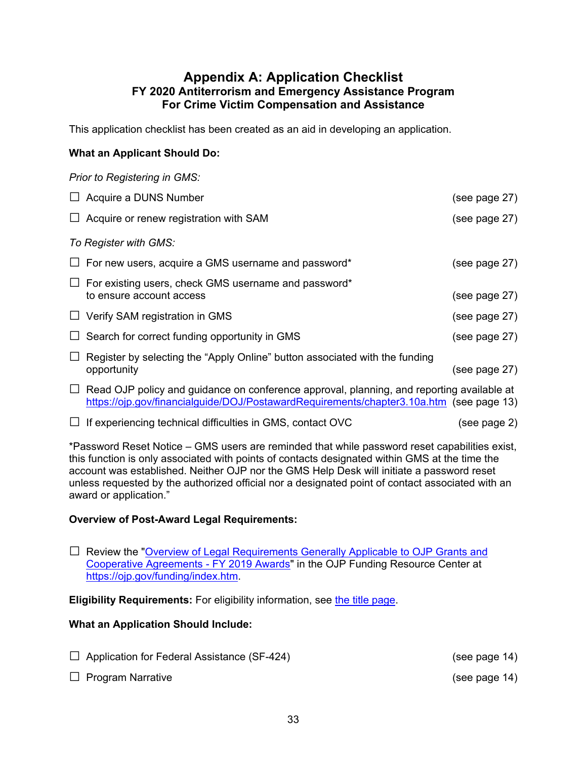#### **Appendix A: Application Checklist FY 2020 Antiterrorism and Emergency Assistance Program For Crime Victim Compensation and Assistance**

<span id="page-32-0"></span>This application checklist has been created as an aid in developing an application.

#### **What an Applicant Should Do:**

|        | Prior to Registering in GMS:                                                                                                                                                                |               |
|--------|---------------------------------------------------------------------------------------------------------------------------------------------------------------------------------------------|---------------|
|        | $\Box$ Acquire a DUNS Number                                                                                                                                                                | (see page 27) |
|        | $\Box$ Acquire or renew registration with SAM                                                                                                                                               | (see page 27) |
|        | To Register with GMS:                                                                                                                                                                       |               |
|        | $\Box$ For new users, acquire a GMS username and password*                                                                                                                                  | (see page 27) |
| $\Box$ | For existing users, check GMS username and password*<br>to ensure account access                                                                                                            | (see page 27) |
|        | $\Box$ Verify SAM registration in GMS                                                                                                                                                       | (see page 27) |
|        | $\Box$ Search for correct funding opportunity in GMS                                                                                                                                        | (see page 27) |
|        | Register by selecting the "Apply Online" button associated with the funding<br>opportunity                                                                                                  | (see page 27) |
|        | $\Box$ Read OJP policy and guidance on conference approval, planning, and reporting available at<br>https://ojp.gov/financialguide/DOJ/PostawardRequirements/chapter3.10a.htm (see page 13) |               |

 $\Box$  If experiencing technical difficulties in GMS, contact OVC  $($ see page 2)

\*Password Reset Notice – GMS users are reminded that while password reset capabilities exist, this function is only associated with points of contacts designated within GMS at the time the account was established. Neither OJP nor the GMS Help Desk will initiate a password reset unless requested by the authorized official nor a designated point of contact associated with an award or application."

#### **Overview of Post-Award Legal Requirements:**

 $\Box$  Review the "Overview of Legal Requirements Generally Applicable to OJP Grants and [Cooperative Agreements -](https://ojp.gov/funding/Explore/LegalOverview2019/index.htm) FY 2019 Awards" in the OJP Funding Resource Center at [https://ojp.gov/funding/index.htm.](https://ojp.gov/funding/index.htm)

**Eligibility Requirements:** For eligibility information, see [the title page.](#page-0-0)

#### **What an Application Should Include:**

- $\Box$  Application for Federal Assistance (SF-424) (see page 14) □ Program Narrative (see page 14)
-